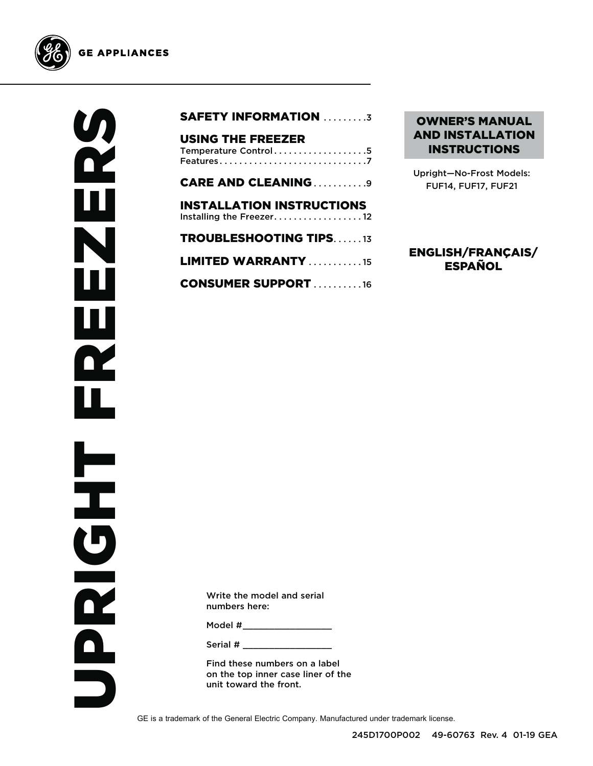



|  | <b>SAFETY INFORMATION 3</b> |  |
|--|-----------------------------|--|
|--|-----------------------------|--|

| <b>USING THE FREEZER</b><br>Temperature Control5             |
|--------------------------------------------------------------|
| <b>CARE AND CLEANING9</b>                                    |
| <b>INSTALLATION INSTRUCTIONS</b><br>Installing the Freezer12 |
| <b>TROUBLESHOOTING TIPS13</b>                                |
| <b>LIMITED WARRANTY</b> 15                                   |
| <b>CONSUMER SUPPORT 16</b>                                   |

### OWNER'S MANUAL AND INSTALLATION INSTRUCTIONS

Upright—No-Frost Models: FUF14, FUF17, FUF21

### ENGLISH/FRANÇAIS/ ESPAÑOL

Write the model and serial numbers here:

Model  $\#$ 

Serial #

Find these numbers on a label on the top inner case liner of the unit toward the front.

GE is a trademark of the General Electric Company. Manufactured under trademark license.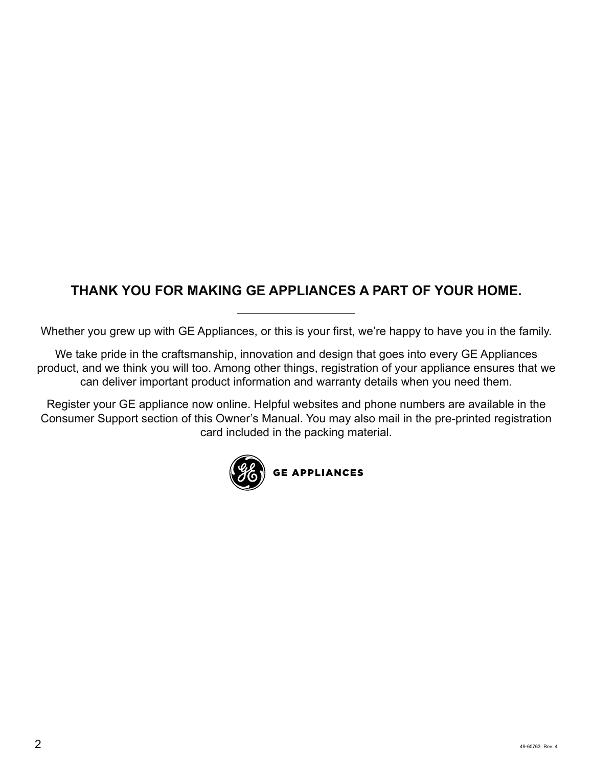### **THANK YOU FOR MAKING GE APPLIANCES A PART OF YOUR HOME.**

Whether you grew up with GE Appliances, or this is your first, we're happy to have you in the family.

We take pride in the craftsmanship, innovation and design that goes into every GE Appliances product, and we think you will too. Among other things, registration of your appliance ensures that we can deliver important product information and warranty details when you need them.

Register your GE appliance now online. Helpful websites and phone numbers are available in the Consumer Support section of this Owner's Manual. You may also mail in the pre-printed registration card included in the packing material.

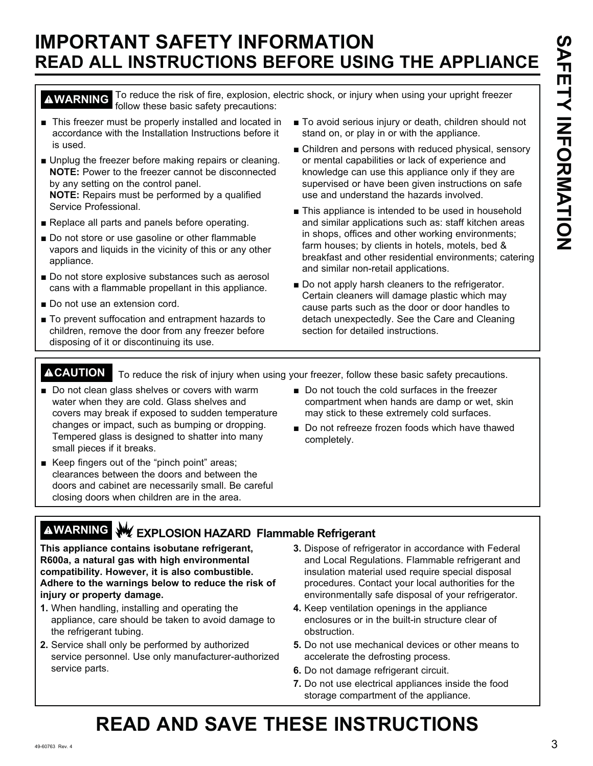# **IMPORTANT SAFETY INFORMATION READ ALL INSTRUCTIONS BEFORE USING THE APPLIANCE**

**AWARNING** To reduce the risk of fire, explosion, electric shock, or injury when using your upright freezer follow these basic safety precautions: follow these basic safety precautions:

• This freezer must be properly installed and located in accordance with the Installation Instructions before it is used.

Unplug the freezer before making repairs or cleaning. **NOTE:** Power to the freezer cannot be disconnected by any setting on the control panel.

**NOTE:** Repairs must be performed by a qualified Service Professional.

- Replace all parts and panels before operating.
- Do not store or use gasoline or other flammable vapors and liquids in the vicinity of this or any other appliance.
- Do not store explosive substances such as aerosol cans with a flammable propellant in this appliance.
- Do not use an extension cord.
- To prevent suffocation and entrapment hazards to children, remove the door from any freezer before disposing of it or discontinuing its use.
- To avoid serious injury or death, children should not stand on, or play in or with the appliance.
- Children and persons with reduced physical, sensory or mental capabilities or lack of experience and knowledge can use this appliance only if they are supervised or have been given instructions on safe use and understand the hazards involved.
- This appliance is intended to be used in household and similar applications such as: staff kitchen areas in shops, offices and other working environments; farm houses; by clients in hotels, motels, bed  $\&$ breakfast and other residential environments; catering and similar non-retail applications.
- Do not apply harsh cleaners to the refrigerator. Certain cleaners will damage plastic which may cause parts such as the door or door handles to detach unexpectedly. See the Care and Cleaning section for detailed instructions.

**ACAUTION** To reduce the risk of injury when using your freezer, follow these basic safety precautions.

- Do not clean glass shelves or covers with warm water when they are cold. Glass shelves and covers may break if exposed to sudden temperature changes or impact, such as bumping or dropping. Tempered glass is designed to shatter into many small pieces if it breaks.
- Keep fingers out of the "pinch point" areas; clearances between the doors and between the doors and cabinet are necessarily small. Be careful closing doors when children are in the area.
- Do not touch the cold surfaces in the freezer compartment when hands are damp or wet, skin may stick to these extremely cold surfaces.
- Do not refreeze frozen foods which have thawed completely.
- **WARNING EXPLOSION HAZARD Flammable Refrigerant**

**This appliance contains isobutane refrigerant, R600a, a natural gas with high environmental compatibility. However, it is also combustible. Adhere to the warnings below to reduce the risk of injury or property damage.**

- **1.** When handling, installing and operating the appliance, care should be taken to avoid damage to the refrigerant tubing.
- **2.** Service shall only be performed by authorized service personnel. Use only manufacturer-authorized service parts.
- **3.** Dispose of refrigerator in accordance with Federal and Local Regulations. Flammable refrigerant and insulation material used require special disposal procedures. Contact your local authorities for the environmentally safe disposal of your refrigerator.
- **4.** Keep ventilation openings in the appliance enclosures or in the built-in structure clear of obstruction.
- **5.** Do not use mechanical devices or other means to accelerate the defrosting process.
- **6.** Do not damage refrigerant circuit.
- **7.** Do not use electrical appliances inside the food storage compartment of the appliance.

# **READ AND SAVE THESE INSTRUCTIONS**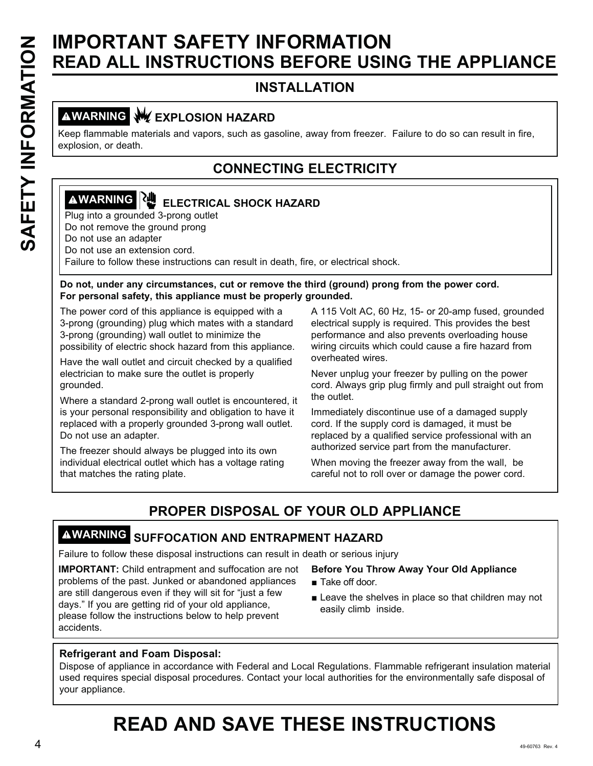# **SAFETY INFORMATION<br>
SEAD ALL INSTRUCTIONS BEFORE USIN<br>
INSTALLATION<br>
IMPORTANT (INSTRUCTIONS BEFORE USIN<br>
INSTALLATION<br>
INSTALLATION<br>
INSTALLATION<br>
INSTALLATION<br>
INSTALLATION<br>
INSTALLATION<br>
INSTALLATION<br>
INSTALLATION<br>
INS READ ALL INSTRUCTIONS BEFORE USING THE APPLIANCE**

### **INSTALLATION**

### **AWARNING WEXPLOSION HAZARD**

Keep flammable materials and vapors, such as gasoline, away from freezer. Failure to do so can result in fire, explosion, or death.

### **CONNECTING ELECTRICITY**

# **AWARNING RU** ELECTRICAL SHOCK HAZARD

Plug into a grounded 3-prong outlet Do not remove the ground prong

Do not use an adapter

Do not use an extension cord.

Failure to follow these instructions can result in death, fire, or electrical shock.

### **Do not, under any circumstances, cut or remove the third (ground) prong from the power cord. For personal safety, this appliance must be properly grounded.**

The power cord of this appliance is equipped with a 3-prong (grounding) plug which mates with a standard 3-prong (grounding) wall outlet to minimize the possibility of electric shock hazard from this appliance.

Have the wall outlet and circuit checked by a qualified electrician to make sure the outlet is properly

grounded.

Where a standard 2-prong wall outlet is encountered, it is your personal responsibility and obligation to have it replaced with a properly grounded 3-prong wall outlet. Do not use an adapter.

The freezer should always be plugged into its own individual electrical outlet which has a voltage rating that matches the rating plate.

A 115 Volt AC, 60 Hz, 15- or 20-amp fused, grounded electrical supply is required. This provides the best performance and also prevents overloading house wiring circuits which could cause a fire hazard from overheated wires.

Never unplug your freezer by pulling on the power cord. Always grip plug firmly and pull straight out from the outlet.

Immediately discontinue use of a damaged supply cord. If the supply cord is damaged, it must be replaced by a qualified service professional with an authorized service part from the manufacturer.

When moving the freezer away from the wall, be careful not to roll over or damage the power cord.

### **PROPER DISPOSAL OF YOUR OLD APPLIANCE**

### **WARNING SUFFOCATION AND ENTRAPMENT HAZARD**

Failure to follow these disposal instructions can result in death or serious injury

**IMPORTANT:** Child entrapment and suffocation are not problems of the past. Junked or abandoned appliances are still dangerous even if they will sit for "just a few days." If you are getting rid of your old appliance, please follow the instructions below to help prevent accidents.

### **Before You Throw Away Your Old Appliance**

- $\blacksquare$  Take off door.
- $\blacksquare$  Leave the shelves in place so that children may not easily climb inside.

### **Refrigerant and Foam Disposal:**

Dispose of appliance in accordance with Federal and Local Regulations. Flammable refrigerant insulation material used requires special disposal procedures. Contact your local authorities for the environmentally safe disposal of your appliance.

# **READ AND SAVE THESE INSTRUCTIONS**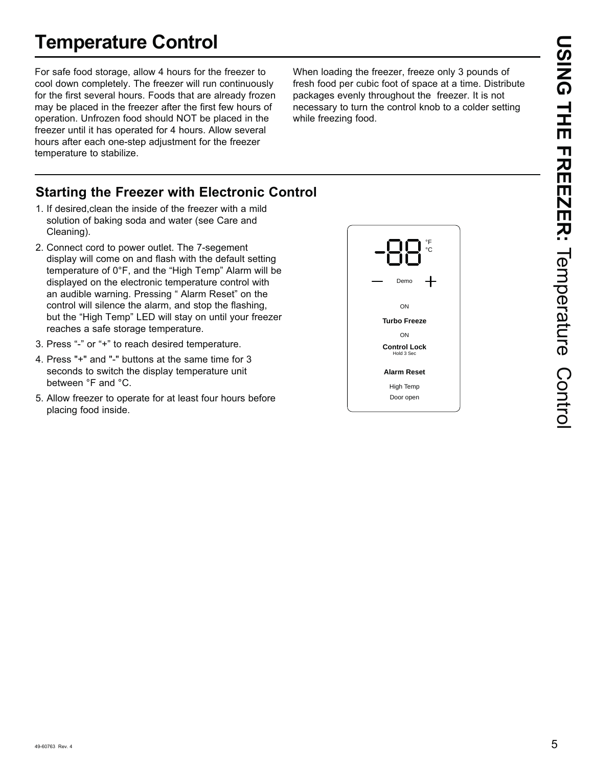# **Temperature Control**

For safe food storage, allow 4 hours for the freezer to cool down completely. The freezer will run continuously for the first several hours. Foods that are already frozen may be placed in the freezer after the first few hours of operation. Unfrozen food should NOT be placed in the freezer until it has operated for 4 hours. Allow several hours after each one-step adjustment for the freezer temperature to stabilize.

When loading the freezer, freeze only 3 pounds of fresh food per cubic foot of space at a time. Distribute packages evenly throughout the freezer. It is not necessary to turn the control knob to a colder setting while freezing food.

### **Starting the Freezer with Electronic Control**

- 1. If desired,clean the inside of the freezer with a mild solution of baking soda and water (see Care and Cleaning).
- 2. Connect cord to power outlet. The 7-segement display will come on and flash with the default setting temperature of 0°F, and the "High Temp" Alarm will be displayed on the electronic temperature control with an audible warning. Pressing "Alarm Reset" on the control will silence the alarm, and stop the flashing, but the "High Temp" LED will stay on until your freezer reaches a safe storage temperature.
- 3. Press "-" or "+" to reach desired temperature.
- 4. Press "+" and "-" buttons at the same time for 3 seconds to switch the display temperature unit between °F and °C.
- 5. Allow freezer to operate for at least four hours before placing food inside.

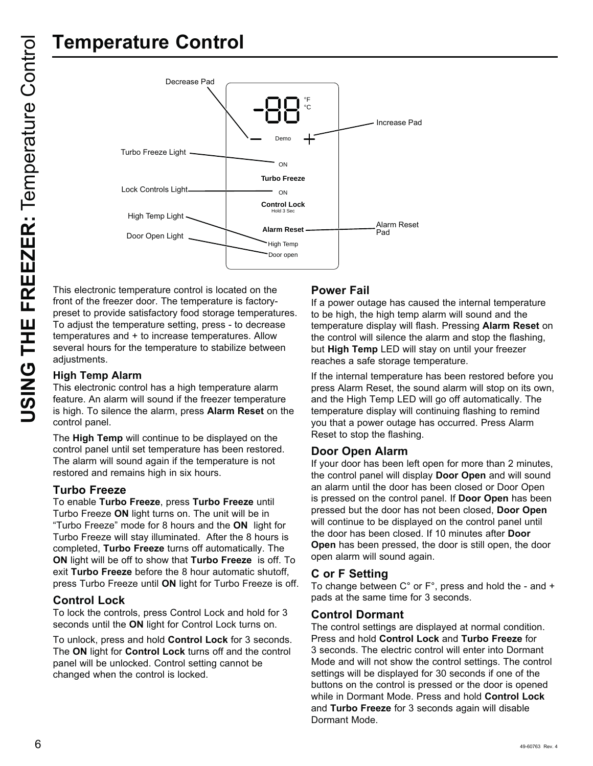

This electronic temperature control is located on the front of the freezer door. The temperature is factorypreset to provide satisfactory food storage temperatures. To adjust the temperature setting, press - to decrease temperatures and + to increase temperatures. Allow several hours for the temperature to stabilize between adjustments.

### **High Temp Alarm**

This electronic control has a high temperature alarm feature. An alarm will sound if the freezer temperature is high. To silence the alarm, press **Alarm Reset** on the control panel.

The **High Temp** will continue to be displayed on the control panel until set temperature has been restored. The alarm will sound again if the temperature is not restored and remains high in six hours.

### **Turbo Freeze**

To enable **Turbo Freeze**, press **Turbo Freeze** until Turbo Freeze ON light turns on. The unit will be in "Turbo Freeze" mode for 8 hours and the ON light for Turbo Freeze will stay illuminated. After the 8 hours is completed, **Turbo Freeze** turns off automatically. The **ON** light will be off to show that **Turbo Freeze** is off. To exit **Turbo Freeze** before the 8 hour automatic shutoff. press Turbo Freeze until ON light for Turbo Freeze is off.

### **Control Lock**

To lock the controls, press Control Lock and hold for 3 seconds until the **ON** light for Control Lock turns on.

To unlock, press and hold **Control Lock** for 3 seconds. The **ON** light for **Control Lock** turns off and the control panel will be unlocked. Control setting cannot be changed when the control is locked.

### **Power Fail**

If a power outage has caused the internal temperature to be high, the high temp alarm will sound and the temperature display will flash. Pressing **Alarm Reset** on the control will silence the alarm and stop the flashing, but **High Temp** LED will stay on until your freezer reaches a safe storage temperature.

If the internal temperature has been restored before you press Alarm Reset, the sound alarm will stop on its own, and the High Temp LED will go off automatically. The temperature display will continuing flashing to remind you that a power outage has occurred. Press Alarm Reset to stop the flashing.

### **Door Open Alarm**

If your door has been left open for more than 2 minutes, the control panel will display **Door Open** and will sound an alarm until the door has been closed or Door Open is pressed on the control panel. If **Door Open** has been pressed but the door has not been closed, **Door Open** will continue to be displayed on the control panel until the door has been closed. If 10 minutes after **Door Open** has been pressed, the door is still open, the door open alarm will sound again.

### **C or F Setting**

To change between  $C^{\circ}$  or  $F^{\circ}$ , press and hold the - and + pads at the same time for 3 seconds.

### **Control Dormant**

The control settings are displayed at normal condition. Press and hold **Control Lock** and **Turbo Freeze** for 3 seconds. The electric control will enter into Dormant Mode and will not show the control settings. The control settings will be displayed for 30 seconds if one of the buttons on the control is pressed or the door is opened while in Dormant Mode. Press and hold Control Lock and **Turbo Freeze** for 3 seconds again will disable Dormant Mode.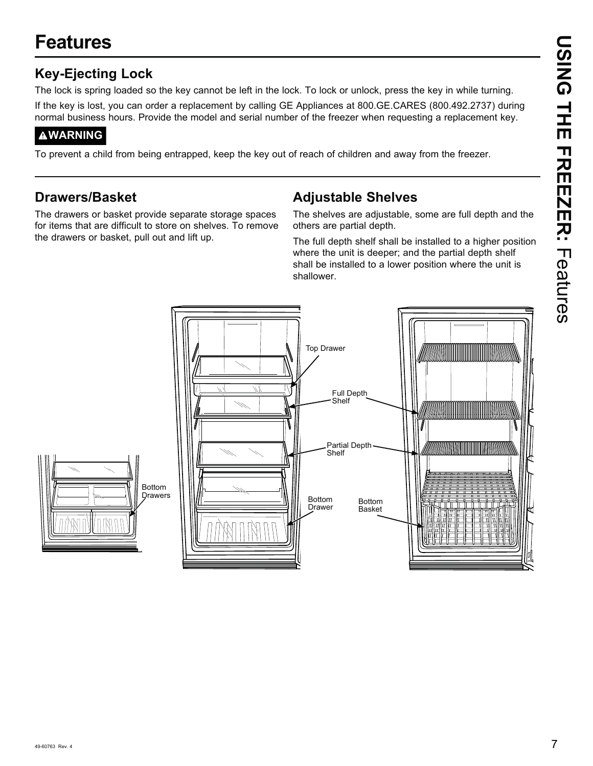# **Features**

### **Key-Ejecting Lock**

The lock is spring loaded so the key cannot be left in the lock. To lock or unlock, press the key in while turning. If the key is lost, you can order a replacement by calling GE Appliances at 800.GE.CARES (800.492.2737) during normal business hours. Provide the model and serial number of the freezer when requesting a replacement key.

### **WARNING**

To prevent a child from being entrapped, keep the key out of reach of children and away from the freezer.

### **Drawers/Basket**

The drawers or basket provide separate storage spaces for items that are difficult to store on shelves. To remove the drawers or basket, pull out and lift up.

### **Adjustable Shelves**

The shelves are adjustable, some are full depth and the others are partial depth.

The full depth shelf shall be installed to a higher position where the unit is deeper; and the partial depth shelf shall be installed to a lower position where the unit is shallower.

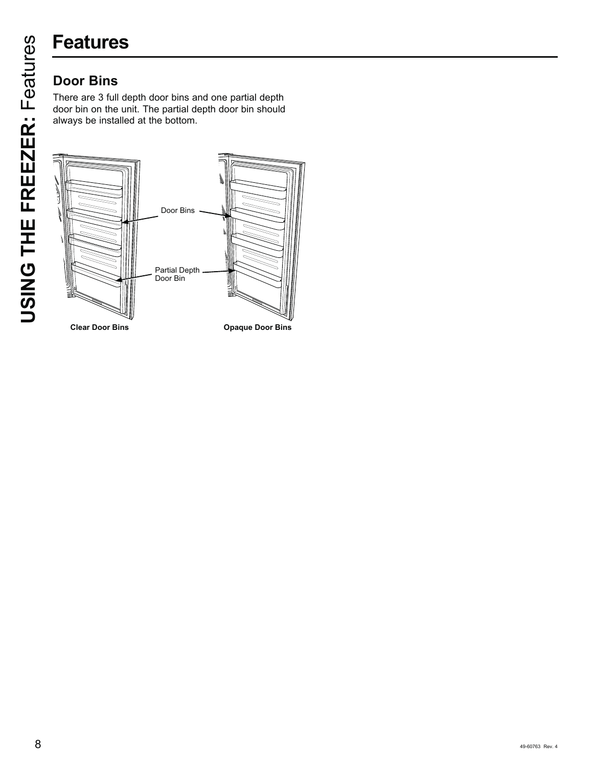# **Features**

There are 3 full depth door bins and one partial depth door bin on the unit. The partial depth door bin should always be installed at the bottom.



**Cpaque Door Bins**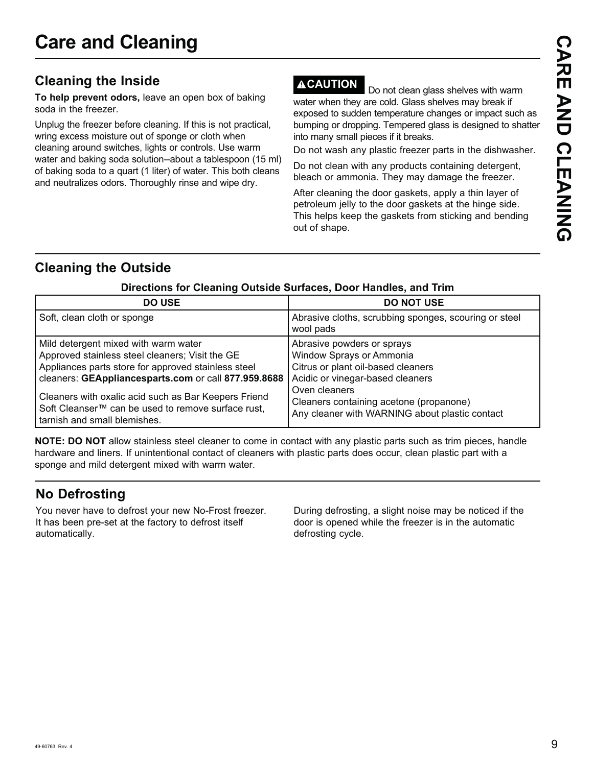### **Cleaning the Inside**

**To help prevent odors,** leave an open box of baking soda in the freezer.

Unplug the freezer before cleaning. If this is not practical, wring excess moisture out of sponge or cloth when cleaning around switches, lights or controls. Use warm water and baking soda solution--about a tablespoon (15 ml) of baking soda to a quart (1 liter) of water. This both cleans and neutralizes odors. Thoroughly rinse and wipe dry.

**ACAUTION** Do not clean glass shelves with warm water when they are cold. Glass shelves may break if exposed to sudden temperature changes or impact such as bumping or dropping. Tempered glass is designed to shatter into many small pieces if it breaks.

Do not wash any plastic freezer parts in the dishwasher.

Do not clean with any products containing detergent, bleach or ammonia. They may damage the freezer.

After cleaning the door gaskets, apply a thin layer of petroleum jelly to the door gaskets at the hinge side. This helps keep the gaskets from sticking and bending out of shape.

### **Cleaning the Outside**

| <b>DO USE</b>                                                                                                                                                                                                                                                                                                                                                    | <b>DO NOT USE</b>                                                                                                                                                                                                                              |
|------------------------------------------------------------------------------------------------------------------------------------------------------------------------------------------------------------------------------------------------------------------------------------------------------------------------------------------------------------------|------------------------------------------------------------------------------------------------------------------------------------------------------------------------------------------------------------------------------------------------|
| Soft, clean cloth or sponge                                                                                                                                                                                                                                                                                                                                      | Abrasive cloths, scrubbing sponges, scouring or steel<br>wool pads                                                                                                                                                                             |
| Mild detergent mixed with warm water<br>Approved stainless steel cleaners; Visit the GE<br>Appliances parts store for approved stainless steel<br>cleaners: GEAppliancesparts.com or call 877.959.8688<br>Cleaners with oxalic acid such as Bar Keepers Friend<br>Soft Cleanser <sup>™</sup> can be used to remove surface rust,<br>tarnish and small blemishes. | Abrasive powders or sprays<br>Window Sprays or Ammonia<br>Citrus or plant oil-based cleaners<br>Acidic or vinegar-based cleaners<br>Oven cleaners<br>Cleaners containing acetone (propanone)<br>Any cleaner with WARNING about plastic contact |

### **Directions for Cleaning Outside Surfaces, Door Handles, and Trim**

**NOTE: DO NOT** allow stainless steel cleaner to come in contact with any plastic parts such as trim pieces, handle hardware and liners. If unintentional contact of cleaners with plastic parts does occur, clean plastic part with a sponge and mild detergent mixed with warm water.

### **No Defrosting**

You never have to defrost your new No-Frost freezer. It has been pre-set at the factory to defrost itself automatically.

During defrosting, a slight noise may be noticed if the door is opened while the freezer is in the automatic defrosting cycle.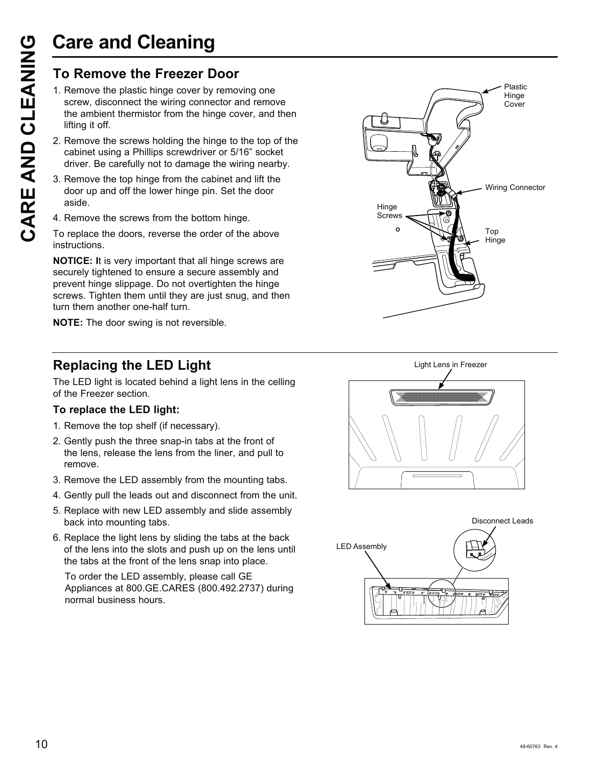# **Care and Cleaning**

- Care and Cleaning<br>
To Remove the Freezer Door<br>
1. Remove the plastic hinge cover by removative and the ambient thermistor from the hinge contributing it off.<br>
2. Remove the screws holding the hinge to cabinet using a Phill 1. Remove the plastic hinge cover by removing one screw, disconnect the wiring connector and remove the ambient thermistor from the hinge cover, and then lifting it off.
	- 2. Remove the screws holding the hinge to the top of the cabinet using a Phillips screwdriver or 5/16" socket driver. Be carefully not to damage the wiring nearby.
	- 3. Remove the top hinge from the cabinet and lift the door up and off the lower hinge pin. Set the door aside.
	- 4. Remove the screws from the bottom hinge.

To replace the doors, reverse the order of the above instructions.

**NOTICE: I**t is very important that all hinge screws are securely tightened to ensure a secure assembly and prevent hinge slippage. Do not overtighten the hinge screws. Tighten them until they are just snug, and then turn them another one-half turn.

**NOTE:** The door swing is not reversible.

### **Replacing the LED Light**

The LED light is located behind a light lens in the celling of the Freezer section.

### **To replace the LED light:**

- 1. Remove the top shelf (if necessary).
- 2. Gently push the three snap-in tabs at the front of the lens, release the lens from the liner, and pull to remove.
- 3. Remove the LED assembly from the mounting tabs.
- 4. Gently pull the leads out and disconnect from the unit.
- 5. Replace with new LED assembly and slide assembly back into mounting tabs.
- 6. Replace the light lens by sliding the tabs at the back of the lens into the slots and push up on the lens until the tabs at the front of the lens snap into place.

To order the LED assembly, please call GE Appliances at 800.GE.CARES (800.492.2737) during normal business hours.





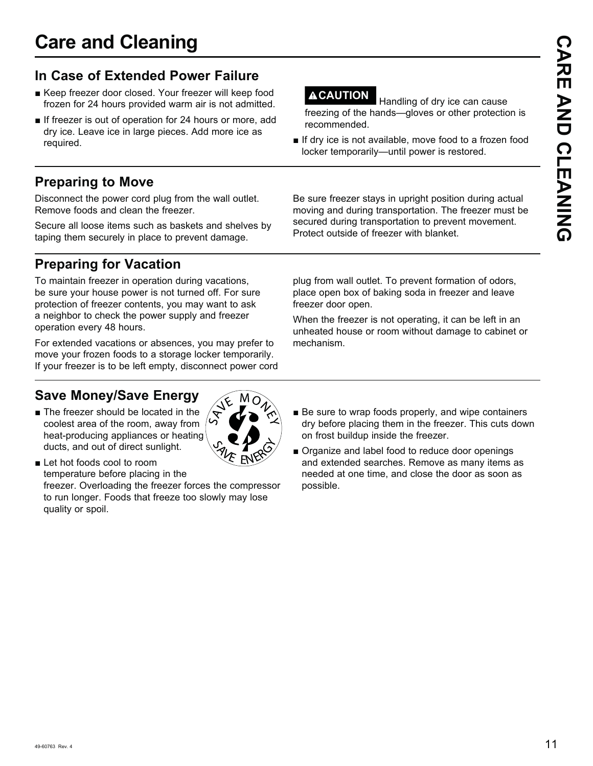## **In Case of Extended Power Failure**

- Keep freezer door closed. Your freezer will keep food frozen for 24 hours provided warm air is not admitted.
- **If freezer is out of operation for 24 hours or more, add** dry ice. Leave ice in large pieces. Add more ice as required.

### **Preparing to Move**

Disconnect the power cord plug from the wall outlet. Remove foods and clean the freezer.

Secure all loose items such as baskets and shelves by taping them securely in place to prevent damage.

# **Preparing for Vacation**

To maintain freezer in operation during vacations, be sure your house power is not turned off. For sure protection of freezer contents, you may want to ask a neighbor to check the power supply and freezer operation every 48 hours.

For extended vacations or absences, you may prefer to move your frozen foods to a storage locker temporarily. If your freezer is to be left empty, disconnect power cord

## **Save Money/Save Energy**

 $\blacksquare$  The freezer should be located in the coolest area of the room, away from heat-producing appliances or heating ducts, and out of direct sunlight.

**Let hot foods cool to room** temperature before placing in the freezer. Overloading the freezer forces the compressor to run longer. Foods that freeze too slowly may lose quality or spoil.

**ACAUTION** Handling of dry ice can cause freezing of the hands—gloves or other protection is recommended.

 $\blacksquare$  If dry ice is not available, move food to a frozen food locker temporarily—until power is restored.

Be sure freezer stays in upright position during actual moving and during transportation. The freezer must be secured during transportation to prevent movement. Protect outside of freezer with blanket.

plug from wall outlet. To prevent formation of odors, place open box of baking soda in freezer and leave freezer door open.

When the freezer is not operating, it can be left in an unheated house or room without damage to cabinet or mechanism.

- $\blacksquare$  Be sure to wrap foods properly, and wipe containers dry before placing them in the freezer. This cuts down on frost buildup inside the freezer.
- Organize and label food to reduce door openings and extended searches. Remove as many items as needed at one time, and close the door as soon as possible.

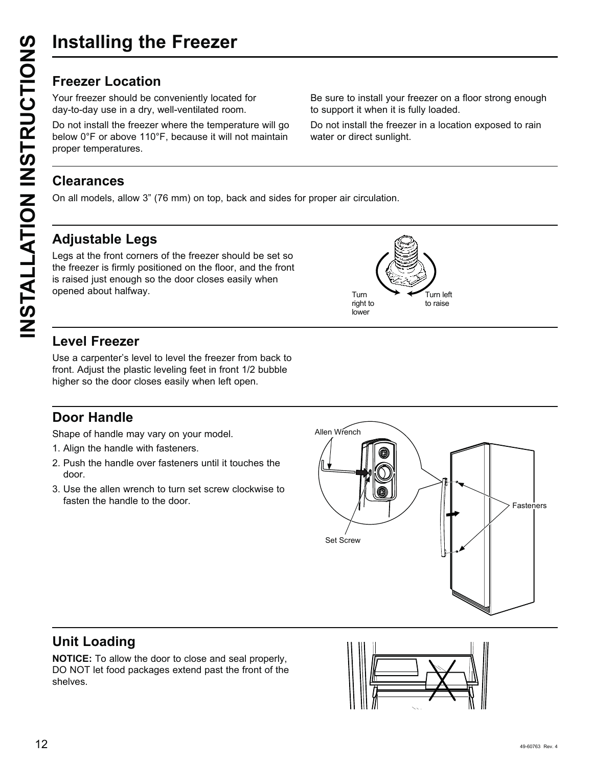Your freezer should be conveniently located for day-to-day use in a dry, well-ventilated room.

Do not install the freezer where the temperature will go below 0°F or above 110°F, because it will not maintain proper temperatures.

Be sure to install your freezer on a floor strong enough to support it when it is fully loaded.

Do not install the freezer in a location exposed to rain water or direct sunlight.

### **Clearances**

On all models, allow 3" (76 mm) on top, back and sides for proper air circulation.

### **Adjustable Legs**

Legs at the front corners of the freezer should be set so the freezer is firmly positioned on the floor, and the front is raised just enough so the door closes easily when opened about halfway.



### **Level Freezer**

Use a carpenter's level to level the freezer from back to front. Adjust the plastic leveling feet in front 1/2 bubble higher so the door closes easily when left open.

### **Door Handle**

Shape of handle may vary on your model.

- 1. Align the handle with fasteners.
- 2. Push the handle over fasteners until it touches the door.
- 3. Use the allen wrench to turn set screw clockwise to



### **Unit Loading**

**NOTICE:** To allow the door to close and seal properly, DO NOT let food packages extend past the front of the shelves.

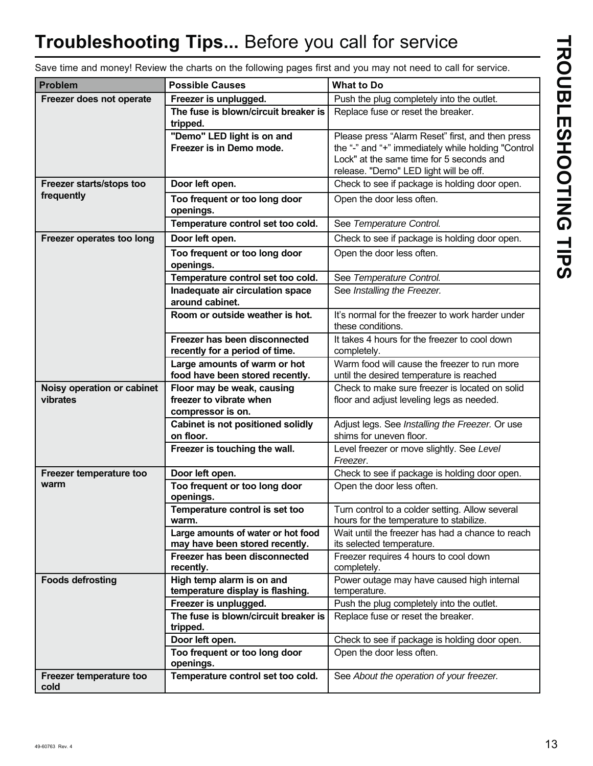# **Troubleshooting Tips...** Before you call for service

| ľ |  |
|---|--|
|   |  |
|   |  |
|   |  |
|   |  |
|   |  |
|   |  |
|   |  |
|   |  |
|   |  |
|   |  |
|   |  |
|   |  |
|   |  |
|   |  |
|   |  |

Save time and money! Review the charts on the following pages first and you may not need to call for service.

| <b>Problem</b>                         | <b>Possible Causes</b>                                               | <b>What to Do</b>                                                                           |
|----------------------------------------|----------------------------------------------------------------------|---------------------------------------------------------------------------------------------|
| Freezer does not operate               | Freezer is unplugged.                                                | Push the plug completely into the outlet.                                                   |
|                                        | The fuse is blown/circuit breaker is<br>tripped.                     | Replace fuse or reset the breaker.                                                          |
|                                        | "Demo" LED light is on and                                           | Please press "Alarm Reset" first, and then press                                            |
|                                        | Freezer is in Demo mode.                                             | the "-" and "+" immediately while holding "Control                                          |
|                                        |                                                                      | Lock" at the same time for 5 seconds and                                                    |
|                                        |                                                                      | release. "Demo" LED light will be off.                                                      |
| Freezer starts/stops too               | Door left open.                                                      | Check to see if package is holding door open.                                               |
| frequently                             | Too frequent or too long door                                        | Open the door less often.                                                                   |
|                                        | openings.                                                            |                                                                                             |
|                                        | Temperature control set too cold.                                    | See Temperature Control.                                                                    |
| Freezer operates too long              | Door left open.                                                      | Check to see if package is holding door open.                                               |
|                                        | Too frequent or too long door<br>openings.                           | Open the door less often.                                                                   |
|                                        | Temperature control set too cold.                                    | See Temperature Control.                                                                    |
|                                        | Inadequate air circulation space<br>around cabinet.                  | See Installing the Freezer.                                                                 |
|                                        | Room or outside weather is hot.                                      | It's normal for the freezer to work harder under<br>these conditions.                       |
|                                        | Freezer has been disconnected<br>recently for a period of time.      | It takes 4 hours for the freezer to cool down<br>completely.                                |
|                                        | Large amounts of warm or hot<br>food have been stored recently.      | Warm food will cause the freezer to run more<br>until the desired temperature is reached    |
| Noisy operation or cabinet<br>vibrates | Floor may be weak, causing<br>freezer to vibrate when                | Check to make sure freezer is located on solid<br>floor and adjust leveling legs as needed. |
|                                        | compressor is on.                                                    |                                                                                             |
|                                        | Cabinet is not positioned solidly                                    | Adjust legs. See Installing the Freezer. Or use                                             |
|                                        | on floor.                                                            | shims for uneven floor.                                                                     |
|                                        | Freezer is touching the wall.                                        | Level freezer or move slightly. See Level<br>Freezer.                                       |
| Freezer temperature too                | Door left open.                                                      | Check to see if package is holding door open.                                               |
| warm                                   | Too frequent or too long door<br>openings.                           | Open the door less often.                                                                   |
|                                        | Temperature control is set too<br>warm.                              | Turn control to a colder setting. Allow several<br>hours for the temperature to stabilize.  |
|                                        | Large amounts of water or hot food<br>may have been stored recently. | Wait until the freezer has had a chance to reach<br>its selected temperature.               |
|                                        | Freezer has been disconnected<br>recently.                           | Freezer requires 4 hours to cool down<br>completely.                                        |
| <b>Foods defrosting</b>                | High temp alarm is on and<br>temperature display is flashing.        | Power outage may have caused high internal<br>temperature.                                  |
|                                        | Freezer is unplugged.                                                | Push the plug completely into the outlet.                                                   |
|                                        | The fuse is blown/circuit breaker is<br>tripped.                     | Replace fuse or reset the breaker.                                                          |
|                                        | Door left open.                                                      | Check to see if package is holding door open.                                               |
|                                        | Too frequent or too long door<br>openings.                           | Open the door less often.                                                                   |
| Freezer temperature too<br>cold        | Temperature control set too cold.                                    | See About the operation of your freezer.                                                    |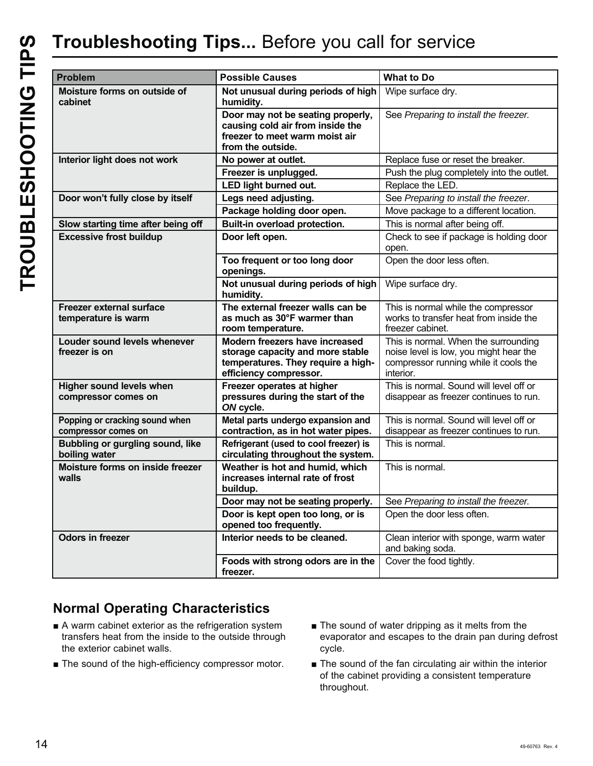# **Troubleshooting Tips...** Before you call for service

| <b>Problem</b>                                         | <b>Possible Causes</b>                                                                                                             | <b>What to Do</b>                                                                                                                    |
|--------------------------------------------------------|------------------------------------------------------------------------------------------------------------------------------------|--------------------------------------------------------------------------------------------------------------------------------------|
| Moisture forms on outside of<br>cabinet                | Not unusual during periods of high<br>humidity.                                                                                    | Wipe surface dry.                                                                                                                    |
|                                                        | Door may not be seating properly,<br>causing cold air from inside the<br>freezer to meet warm moist air<br>from the outside.       | See Preparing to install the freezer.                                                                                                |
| Interior light does not work                           | No power at outlet.                                                                                                                | Replace fuse or reset the breaker.                                                                                                   |
|                                                        | Freezer is unplugged.                                                                                                              | Push the plug completely into the outlet.                                                                                            |
|                                                        | LED light burned out.                                                                                                              | Replace the LED.                                                                                                                     |
| Door won't fully close by itself                       | Legs need adjusting.                                                                                                               | See Preparing to install the freezer.                                                                                                |
|                                                        | Package holding door open.                                                                                                         | Move package to a different location.                                                                                                |
| Slow starting time after being off                     | Built-in overload protection.                                                                                                      | This is normal after being off.                                                                                                      |
| <b>Excessive frost buildup</b>                         | Door left open.                                                                                                                    | Check to see if package is holding door<br>open.                                                                                     |
|                                                        | Too frequent or too long door<br>openings.                                                                                         | Open the door less often.                                                                                                            |
|                                                        | Not unusual during periods of high<br>humidity.                                                                                    | Wipe surface dry.                                                                                                                    |
| Freezer external surface<br>temperature is warm        | The external freezer walls can be<br>as much as 30°F warmer than<br>room temperature.                                              | This is normal while the compressor<br>works to transfer heat from inside the<br>freezer cabinet.                                    |
| Louder sound levels whenever<br>freezer is on          | Modern freezers have increased<br>storage capacity and more stable<br>temperatures. They require a high-<br>efficiency compressor. | This is normal. When the surrounding<br>noise level is low, you might hear the<br>compressor running while it cools the<br>interior. |
| <b>Higher sound levels when</b><br>compressor comes on | Freezer operates at higher<br>pressures during the start of the<br>ON cycle.                                                       | This is normal. Sound will level off or<br>disappear as freezer continues to run.                                                    |
| Popping or cracking sound when<br>compressor comes on  | Metal parts undergo expansion and<br>contraction, as in hot water pipes.                                                           | This is normal. Sound will level off or<br>disappear as freezer continues to run.                                                    |
| Bubbling or gurgling sound, like<br>boiling water      | Refrigerant (used to cool freezer) is<br>circulating throughout the system.                                                        | This is normal.                                                                                                                      |
| Moisture forms on inside freezer<br>walls              | Weather is hot and humid, which<br>increases internal rate of frost<br>buildup.                                                    | This is normal.                                                                                                                      |
|                                                        | Door may not be seating properly.                                                                                                  | See Preparing to install the freezer.                                                                                                |
|                                                        | Door is kept open too long, or is<br>opened too frequently.                                                                        | Open the door less often.                                                                                                            |
| <b>Odors in freezer</b>                                | Interior needs to be cleaned.                                                                                                      | Clean interior with sponge, warm water<br>and baking soda.                                                                           |
|                                                        | Foods with strong odors are in the<br>freezer.                                                                                     | Cover the food tightly.                                                                                                              |

### **Normal Operating Characteristics**

- A warm cabinet exterior as the refrigeration system transfers heat from the inside to the outside through the exterior cabinet walls.
- $\blacksquare$  The sound of the high-efficiency compressor motor.
- $\blacksquare$  The sound of water dripping as it melts from the evaporator and escapes to the drain pan during defrost cycle.
- $\blacksquare$  The sound of the fan circulating air within the interior of the cabinet providing a consistent temperature throughout.

TROUBLESHOOTING TIPS **TROUBLESHOOTING TIPS**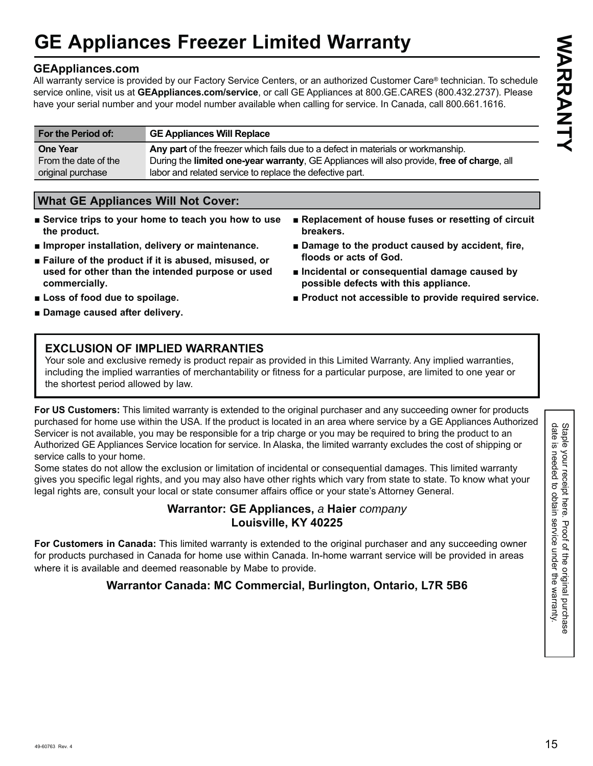# **GE Appliances Freezer Limited Warranty**

### **GEAppliances.com**

All warranty service is provided by our Factory Service Centers, or an authorized Customer Care® technician. To schedule service online, visit us at **GEAppliances.com/service**, or call GE Appliances at 800.GE.CARES (800.432.2737). Please have your serial number and your model number available when calling for service. In Canada, call 800.661.1616.

| For the Period of:   | <b>GE Appliances Will Replace</b>                                                          |
|----------------------|--------------------------------------------------------------------------------------------|
| <b>One Year</b>      | Any part of the freezer which fails due to a defect in materials or workmanship.           |
| From the date of the | During the limited one-year warranty, GE Appliances will also provide, free of charge, all |
| original purchase    | labor and related service to replace the defective part.                                   |

### **What GE Appliances Will Not Cover:**

- Service trips to your home to teach you how to use **the product.**
- $\blacksquare$  Improper installation, delivery or maintenance.
- **Example 2** Failure of the product if it is abused, misused, or **used for other than the intended purpose or used commercially.**
- Replacement of house fuses or resetting of circuit **breakers.**
- Damage to the product caused by accident, fire, **floods or acts of God.**
- $\blacksquare$  Incidental or consequential damage caused by **possible defects with this appliance.**
- $\blacksquare$  Product not accessible to provide required service.

■ Loss of food due to spoilage. ■ Damage caused after delivery.

### **EXCLUSION OF IMPLIED WARRANTIES**

Your sole and exclusive remedy is product repair as provided in this Limited Warranty. Any implied warranties, including the implied warranties of merchantability or fitness for a particular purpose, are limited to one year or the shortest period allowed by law.

**For US Customers:** This limited warranty is extended to the original purchaser and any succeeding owner for products purchased for home use within the USA. If the product is located in an area where service by a GE Appliances Authorized Servicer is not available, you may be responsible for a trip charge or you may be required to bring the product to an Authorized GE Appliances Service location for service. In Alaska, the limited warranty excludes the cost of shipping or service calls to your home.

Some states do not allow the exclusion or limitation of incidental or consequential damages. This limited warranty gives you specific legal rights, and you may also have other rights which vary from state to state. To know what your legal rights are, consult your local or state consumer affairs office or your state's Attorney General.

### **Warrantor: GE Appliances,** *a* **Haier** *company*  **Louisville, KY 40225**

**For Customers in Canada:** This limited warranty is extended to the original purchaser and any succeeding owner for products purchased in Canada for home use within Canada. In-home warrant service will be provided in areas where it is available and deemed reasonable by Mabe to provide.

### **Warrantor Canada: MC Commercial, Burlington, Ontario, L7R 5B6**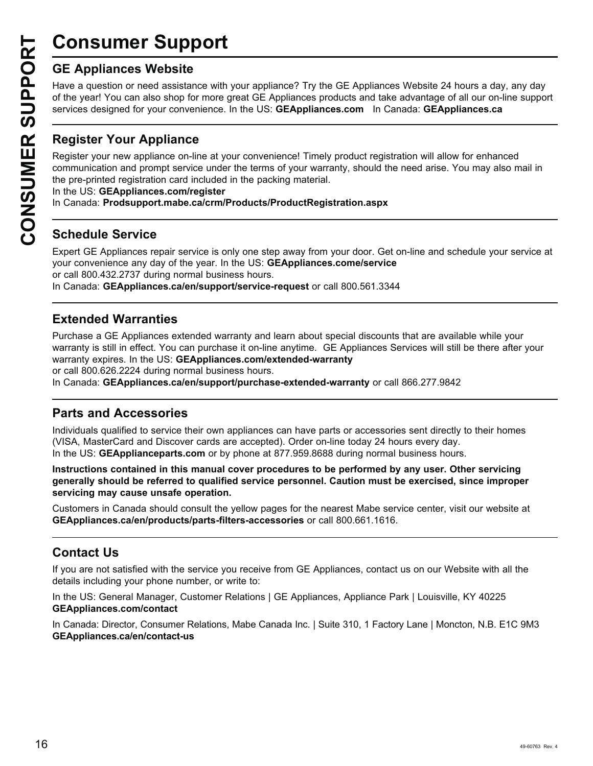# **Consumer Support**

**CONSUMER SUP**<br> **GE Appliances Website**<br>
Have a question or need assistar<br>
of the year! You can also shop for<br>
services designed for your conver<br> **CONSUMER PERITHER PROPERITY CONSUMER PROPERITY OUT Appliance on-1**<br>
CONSUME Have a question or need assistance with your appliance? Try the GE Appliances Website 24 hours a day, any day of the year! You can also shop for more great GE Appliances products and take advantage of all our on-line support Exervices designed for your convenience. In the US: **GEAppliances.com** In Canada: **GEAppliances.ca** 

### **Register Your Appliance**

Register your new appliance on-line at your convenience! Timely product registration will allow for enhanced communication and prompt service under the terms of your warranty, should the need arise. You may also mail in the pre-printed registration card included in the packing material.

In the US: GEAppliances.com/register

In Canada: **Prodsupport.mabe.ca/crm/Products/ProductRegistration.aspx**

### **Schedule Service**

Expert GE Appliances repair service is only one step away from your door. Get on-line and schedule your service at your convenience any day of the year. In the US: **GEAppliances.come/service** or call 800.432.2737 during normal business hours.

In Canada: GEAppliances.ca/en/support/service-request or call 800.561.3344

### **Extended Warranties**

Purchase a GE Appliances extended warranty and learn about special discounts that are available while your warranty is still in effect. You can purchase it on-line anytime. GE Appliances Services will still be there after your warranty expires. In the US: GEAppliances.com/extended-warranty or call 800.626.2224 during normal business hours.

In Canada: GEAppliances.ca/en/support/purchase-extended-warranty or call 866.277.9842

### **Parts and Accessories**

Individuals qualified to service their own appliances can have parts or accessories sent directly to their homes (VISA, MasterCard and Discover cards are accepted). Order on-line today 24 hours every day. In the US: GEApplianceparts.com or by phone at 877.959.8688 during normal business hours.

**Instructions contained in this manual cover procedures to be performed by any user. Other servicing generally should be referred to qualified service personnel. Caution must be exercised, since improper servicing may cause unsafe operation.**

Customers in Canada should consult the yellow pages for the nearest Mabe service center, visit our website at **GEAppliances.ca/en/products/parts-filters-accessories** or call 800.661.1616.

### **Contact Us**

If you are not satisfied with the service you receive from GE Appliances, contact us on our Website with all the details including your phone number, or write to:

In the US: General Manager, Customer Relations | GE Appliances, Appliance Park | Louisville, KY 40225 **GEAppliances.com/contact**

In Canada: Director, Consumer Relations, Mabe Canada Inc. | Suite 310, 1 Factory Lane | Moncton, N.B. E1C 9M3 **GEAppliances.ca/en/contact-us**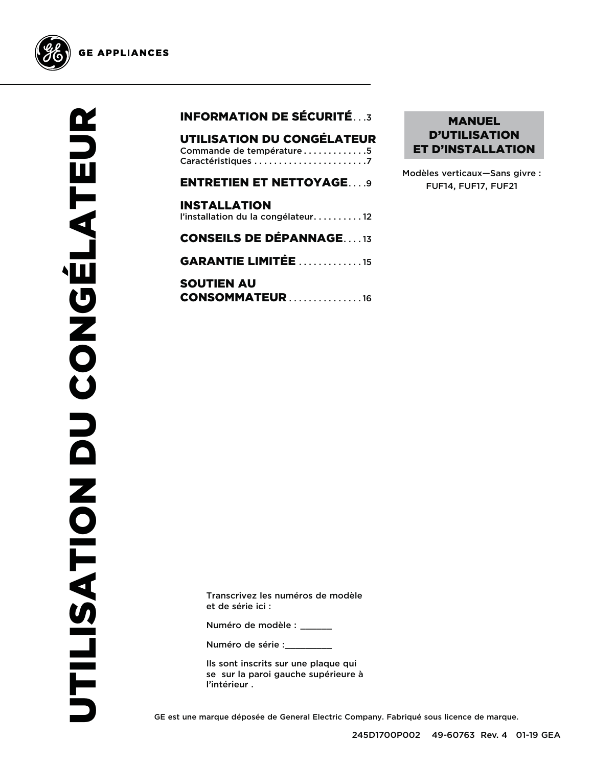

### INFORMATION DE SÉCURITÉ . . .3

UTILISATION DU CONGÉLATEUR Commande de température . . . . . . . . . . . . 5 Caractéristiques . . . . . . . . . . . . . . . . . . . . . . .7

ENTRETIEN ET NETTOYAGE . . . .9 INSTALLATION l'installation du la congélateur.......... 12 CONSEILS DE DÉPANNAGE . . . . 13

**GARANTIE LIMITÉE . . . . . . . . . . . . 15** 

SOUTIEN AU **CONSOMMATEUR . . . . . . . . . . . . . . 16** 

### MANUEL D'UTILISATION ET D'INSTALLATION

Modèles verticaux—Sans givre : FUF14, FUF17, FUF21

Transcrivez les numéros de modèle et de série ici :

Numéro de modèle : \_\_\_\_\_\_

Numéro de série :

Ils sont inscrits sur une plaque qui se sur la paroi gauche supérieure à l'intérieur .

GE est une marque déposée de General Electric Company. Fabriqué sous licence de marque.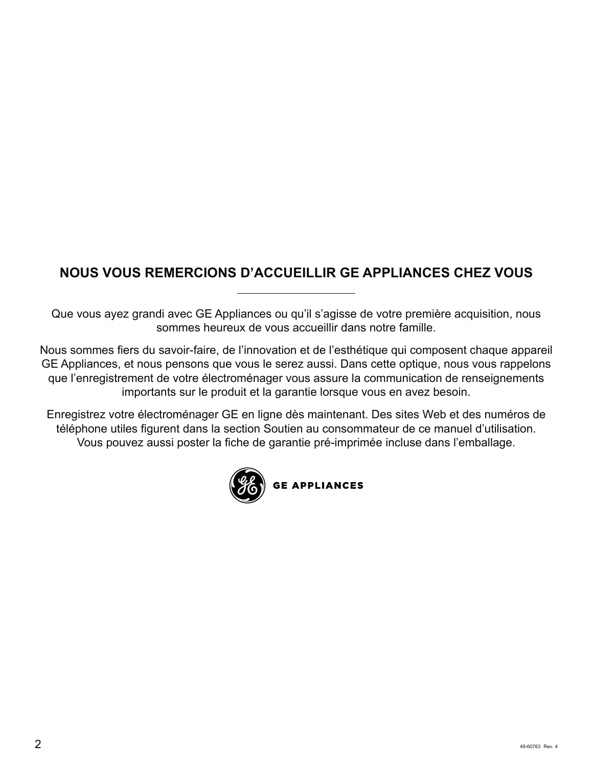### **NOUS VOUS REMERCIONS D'ACCUEILLIR GE APPLIANCES CHEZ VOUS**

Que vous ayez grandi avec GE Appliances ou qu'il s'agisse de votre première acquisition, nous sommes heureux de vous accueillir dans notre famille.

Nous sommes fiers du savoir-faire, de l'innovation et de l'esthétique qui composent chaque appareil GE Appliances, et nous pensons que vous le serez aussi. Dans cette optique, nous vous rappelons que l'enregistrement de votre électroménager vous assure la communication de renseignements importants sur le produit et la garantie lorsque vous en avez besoin.

Enregistrez votre électroménager GE en ligne dès maintenant. Des sites Web et des numéros de téléphone utiles figurent dans la section Soutien au consommateur de ce manuel d'utilisation. Vous pouvez aussi poster la fiche de garantie pré-imprimée incluse dans l'emballage.

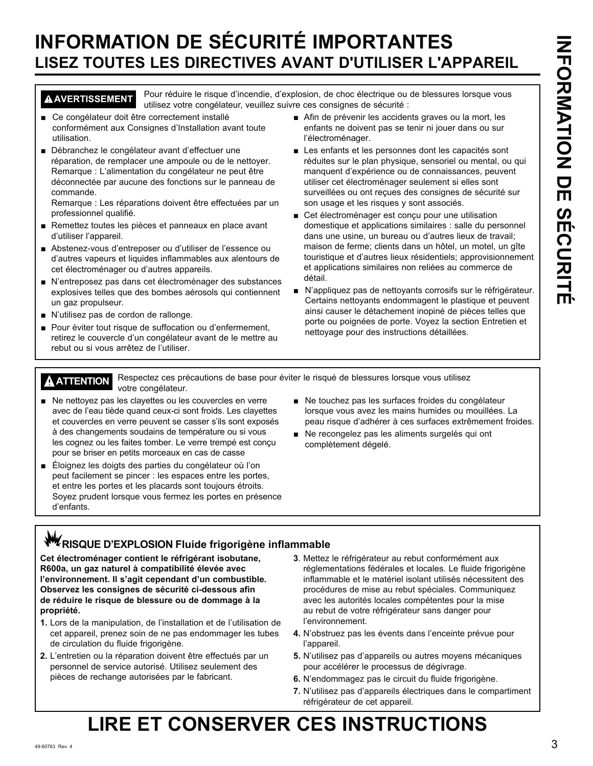# **INFORMATION DE SÉCURITÉ IMPORTANTES LISEZ TOUTES LES DIRECTIVES AVANT D'UTILISER L'APPAREIL**

**AVERTISSEMENT** Pour réduire le risque d'incendie, d'explosion, de choc électrique ou de blessures lorsque vous utilisez votre congélateur, veuillez suivre ces consignes de sécurité :

- Ce congélateur doit être correctement installé conformément aux Consignes d'Installation avant toute utilisation.
- Débranchez le congélateur avant d'effectuer une réparation, de remplacer une ampoule ou de le nettoyer. Remarque : L'alimentation du congélateur ne peut être déconnectée par aucune des fonctions sur le panneau de commande.

Remarque : Les réparations doivent être effectuées par un professionnel qualifié.

- Remettez toutes les pièces et panneaux en place avant d'utiliser l'appareil.
- Abstenez-vous d'entreposer ou d'utiliser de l'essence ou d'autres vapeurs et liquides inflammables aux alentours de cet électroménager ou d'autres appareils.
- N'entreposez pas dans cet électroménager des substances explosives telles que des bombes aérosols qui contiennent un gaz propulseur.
- N'utilisez pas de cordon de rallonge.
- Pour éviter tout risque de suffocation ou d'enfermement, retirez le couvercle d'un congélateur avant de le mettre au rebut ou si vous arrêtez de l'utiliser.
- Afin de prévenir les accidents graves ou la mort, les enfants ne doivent pas se tenir ni jouer dans ou sur l'électroménager.
- Les enfants et les personnes dont les capacités sont réduites sur le plan physique, sensoriel ou mental, ou qui manquent d'expérience ou de connaissances, peuvent utiliser cet électroménager seulement si elles sont surveillées ou ont reçues des consignes de sécurité sur son usage et les risques y sont associés.
- Cet électroménager est conçu pour une utilisation domestique et applications similaires : salle du personnel dans une usine, un bureau ou d'autres lieux de travail; maison de ferme; clients dans un hôtel, un motel, un gîte touristique et d'autres lieux résidentiels; approvisionnement et applications similaires non reliées au commerce de détail.
- N'appliquez pas de nettoyants corrosifs sur le réfrigérateur. Certains nettoyants endommagent le plastique et peuvent ainsi causer le détachement inopiné de pièces telles que porte ou poignées de porte. Voyez la section Entretien et nettoyage pour des instructions détaillées.

**ATTENTION** Respectez ces précautions de base pour éviter le risqué de blessures lorsque vous utilisez votre congélateur.

- $\blacksquare$  Ne nettoyez pas les clayettes ou les couvercles en verre avec de l'eau tiède quand ceux-ci sont froids. Les clayettes et couvercles en verre peuvent se casser s'ils sont exposés à des changements soudains de température ou si vous les cognez ou les faites tomber. Le verre trempé est conçu pour se briser en petits morceaux en cas de casse
- Éloignez les doigts des parties du congélateur où l'on peut facilement se pincer : les espaces entre les portes, et entre les portes et les placards sont toujours étroits. Soyez prudent lorsque vous fermez les portes en présence d'enfants.
- Ne touchez pas les surfaces froides du congélateur lorsque vous avez les mains humides ou mouillées. La peau risque d'adhérer à ces surfaces extrêmement froides.
- Ne recongelez pas les aliments surgelés qui ont complètement dégelé.

# **W**ZRISQUE D'EXPLOSION Fluide frigorigène inflammable

**Cet électroménager contient le réfrigérant isobutane, R600a, un gaz naturel à compatibilité élevée avec l'environnement. Il s'agit cependant d'un combustible. Observez les consignes de sécurité ci-dessous afin de réduire le risque de blessure ou de dommage à la propriété.**

- **1.** Lors de la manipulation, de l'installation et de l'utilisation de cet appareil, prenez soin de ne pas endommager les tubes de circulation du fluide frigorigène.
- **2.** L'entretien ou la réparation doivent être effectués par un personnel de service autorisé. Utilisez seulement des pièces de rechange autorisées par le fabricant.
- **3**. Mettez le réfrigérateur au rebut conformément aux réglementations fédérales et locales. Le fluide frigorigène inflammable et le matériel isolant utilisés nécessitent des procédures de mise au rebut spéciales. Communiquez avec les autorités locales compétentes pour la mise au rebut de votre réfrigérateur sans danger pour l'environnement.
- **4.** N'obstruez pas les évents dans l'enceinte prévue pour l'appareil.
- **5.** N'utilisez pas d'appareils ou autres moyens mécaniques pour accélérer le processus de dégivrage.
- **6.** N'endommagez pas le circuit du fluide frigorigène.
- **7.** N'utilisez pas d'appareils électriques dans le compartiment réfrigérateur de cet appareil.

# **LIRE ET CONSERVER CES INSTRUCTIONS**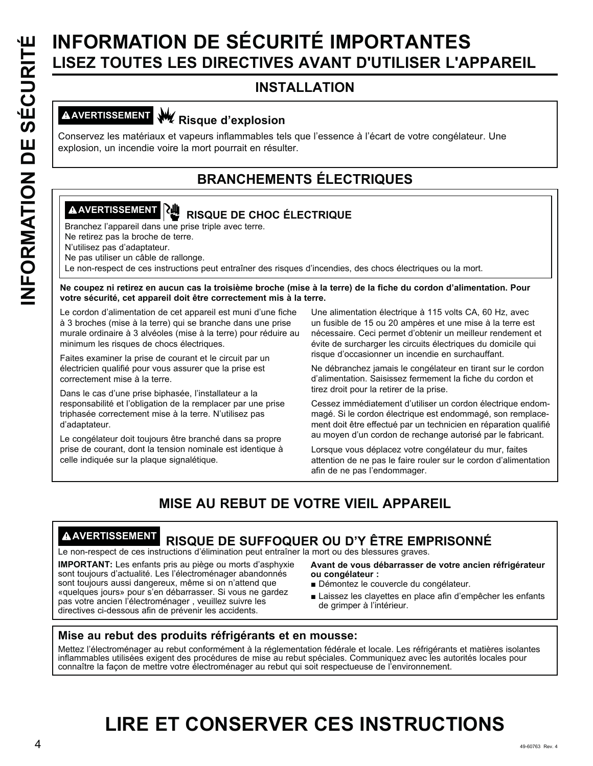# INFORMATION DE SÉCURITÉ IMPORTANTES<br>
INSTALLATION<br>
INSTALLATION<br>
CONSERVEZ ISSEMENT<br>
CONSERVEZ ISSEMENT<br>
CONSERVEZ ISSEMENT<br>
CONSERVEZ ISSEMENT<br>
CONSERVEZ ISSEMENT<br>
ISSEMENT BRANCHEMENTS ÉLECTRIQUES<br>
CONSERVEZ pas d'adapta **LISEZ TOUTES LES DIRECTIVES AVANT D'UTILISER L'APPAREIL**

### **INSTALLATION**

# **AVERTISSEMENT Risque d'explosion**

Conservez les matériaux et vapeurs inflammables tels que l'essence à l'écart de votre congélateur. Une explosion, un incendie voire la mort pourrait en résulter.

### **BRANCHEMENTS ÉLECTRIQUES**

# **A AVERTISSEMENT QUE RISQUE DE CHOC ÉLECTRIQUE**

Branchez l'appareil dans une prise triple avec terre.

Ne retirez pas la broche de terre.

N'utilisez pas d'adaptateur.

Ne pas utiliser un câble de rallonge.

Le non-respect de ces instructions peut entraîner des risques d'incendies, des chocs électriques ou la mort.

**Ne coupez ni retirez en aucun cas la troisième broche (mise à la terre) de la fiche du cordon d'alimentation. Pour votre sécurité, cet appareil doit être correctement mis à la terre.**

Le cordon d'alimentation de cet appareil est muni d'une fiche à 3 broches (mise à la terre) qui se branche dans une prise murale ordinaire à 3 alvéoles (mise à la terre) pour réduire au minimum les risques de chocs électriques.

Faites examiner la prise de courant et le circuit par un électricien qualifié pour vous assurer que la prise est correctement mise à la terre.

Dans le cas d'une prise biphasée, l'installateur a la responsabilité et l'obligation de la remplacer par une prise triphasée correctement mise à la terre. N'utilisez pas d'adaptateur.

Le congélateur doit toujours être branché dans sa propre prise de courant, dont la tension nominale est identique à celle indiquée sur la plaque signalétique.

Une alimentation électrique à 115 volts CA, 60 Hz, avec un fusible de 15 ou 20 ampères et une mise à la terre est nécessaire. Ceci permet d'obtenir un meilleur rendement et évite de surcharger les circuits électriques du domicile qui risque d'occasionner un incendie en surchauffant.

Ne débranchez jamais le congélateur en tirant sur le cordon d'alimentation. Saisissez fermement la fiche du cordon et tirez droit pour la retirer de la prise.

Cessez immédiatement d'utiliser un cordon électrique endommagé. Si le cordon électrique est endommagé, son remplacement doit être effectué par un technicien en réparation qualifié au moyen d'un cordon de rechange autorisé par le fabricant.

Lorsque vous déplacez votre congélateur du mur, faites attention de ne pas le faire rouler sur le cordon d'alimentation afin de ne pas l'endommager.

### **MISE AU REBUT DE VOTRE VIEIL APPAREIL**

### **AVERTISSEMENT RISQUE DE SUFFOQUER OU D'Y ÊTRE EMPRISONNÉ**

Le non-respect de ces instructions d'élimination peut entraîner la mort ou des blessures graves.

**IMPORTANT:** Les enfants pris au piège ou morts d'asphyxie sont toujours d'actualité. Les l'électroménager abandonnés sont toujours aussi dangereux, même si on n'attend que «quelques jours» pour s'en débarrasser. Si vous ne gardez pas votre ancien l'électroménager , veuillez suivre les directives ci-dessous afin de prévenir les accidents.

**Avant de vous débarrasser de votre ancien réfrigérateur ou congélateur :**

- Démontez le couvercle du congélateur.
- Laissez les clayettes en place afin d'empêcher les enfants de grimper à l'intérieur.

### **Mise au rebut des produits réfrigérants et en mousse:**

Mettez l'électroménager au rebut conformément à la réglementation fédérale et locale. Les réfrigérants et matières isolantes inflammables utilisées exigent des procédures de mise au rebut spéciales. Communiquez avec les autorités locales pour connaître la façon de mettre votre électroménager au rebut qui soit respectueuse de l'environnement.

# **LIRE ET CONSERVER CES INSTRUCTIONS**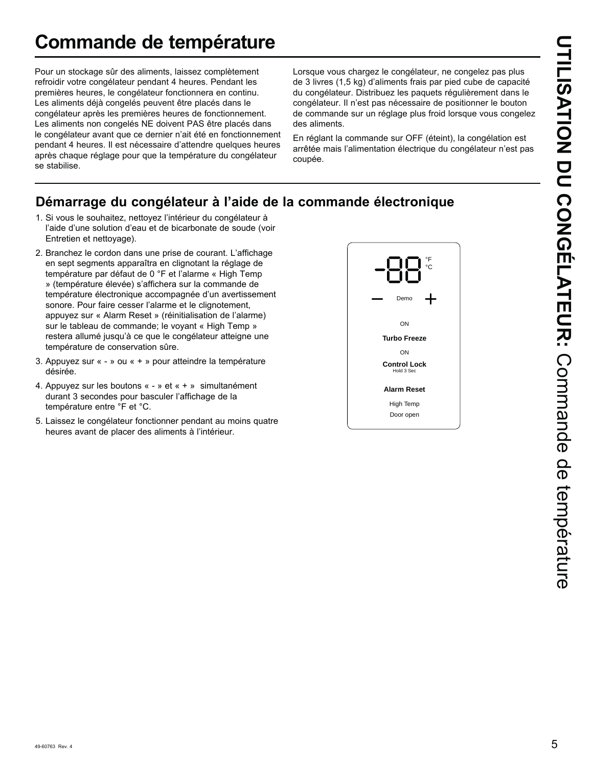# **Commande de température**

Pour un stockage sûr des aliments, laissez complètement refroidir votre congélateur pendant 4 heures. Pendant les premières heures, le congélateur fonctionnera en continu. Les aliments déjà congelés peuvent être placés dans le congélateur après les premières heures de fonctionnement. Les aliments non congelés NE doivent PAS être placés dans le congélateur avant que ce dernier n'ait été en fonctionnement pendant 4 heures. Il est nécessaire d'attendre quelques heures après chaque réglage pour que la température du congélateur se stabilise.

Lorsque vous chargez le congélateur, ne congelez pas plus de 3 livres (1,5 kg) d'aliments frais par pied cube de capacité du congélateur. Distribuez les paquets régulièrement dans le congélateur. Il n'est pas nécessaire de positionner le bouton de commande sur un réglage plus froid lorsque vous congelez des aliments.

En réglant la commande sur OFF (éteint), la congélation est arrêtée mais l'alimentation électrique du congélateur n'est pas coupée.

### **Démarrage du congélateur à l'aide de la commande électronique**

- 1. Si vous le souhaitez, nettoyez l'intérieur du congélateur à l'aide d'une solution d'eau et de bicarbonate de soude (voir Entretien et nettoyage).
- 2. Branchez le cordon dans une prise de courant. L'affichage en sept segments apparaîtra en clignotant la réglage de température par défaut de 0 °F et l'alarme « High Temp » (température élevée) s'affichera sur la commande de température électronique accompagnée d'un avertissement sonore. Pour faire cesser l'alarme et le clignotement, appuyez sur « Alarm Reset » (réinitialisation de l'alarme) sur le tableau de commande; le voyant « High Temp » restera allumé jusqu'à ce que le congélateur atteigne une température de conservation sûre.
- 3. Appuyez sur « » ou « + » pour atteindre la température désirée.
- 4. Appuyez sur les boutons « » et « + » simultanément durant 3 secondes pour basculer l'affichage de la température entre °F et °C.
- 5. Laissez le congélateur fonctionner pendant au moins quatre heures avant de placer des aliments à l'intérieur.

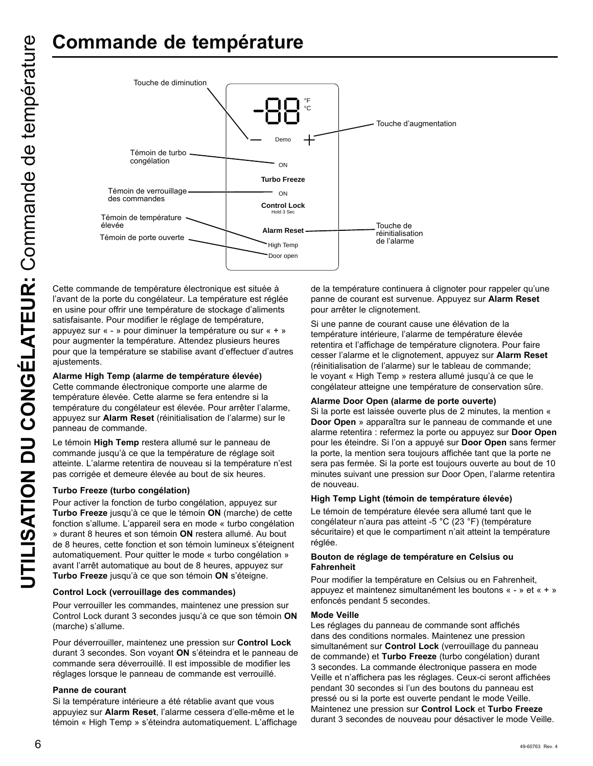

Cette commande de température électronique est située à l'avant de la porte du congélateur. La température est réglée en usine pour offrir une température de stockage d'aliments satisfaisante. Pour modifier le réglage de température, appuyez sur « - » pour diminuer la température ou sur « + » pour augmenter la température. Attendez plusieurs heures pour que la température se stabilise avant d'effectuer d'autres ajustements.

### **Alarme High Temp (alarme de température élevée)**

Cette commande électronique comporte une alarme de température élevée. Cette alarme se fera entendre si la température du congélateur est élevée. Pour arrêter l'alarme, appuyez sur **Alarm Reset** (réinitialisation de l'alarme) sur le panneau de commande.

Le témoin **High Temp** restera allumé sur le panneau de commande jusqu'à ce que la température de réglage soit atteinte. L'alarme retentira de nouveau si la température n'est pas corrigée et demeure élevée au bout de six heures.

### **Turbo Freeze (turbo congélation)**

Pour activer la fonction de turbo congélation, appuyez sur **Turbo Freeze** jusqu'à ce que le témoin **ON** (marche) de cette fonction s'allume. L'appareil sera en mode « turbo congélation » durant 8 heures et son témoin **ON** restera allumé. Au bout de 8 heures, cette fonction et son témoin lumineux s'éteignent automatiquement. Pour quitter le mode « turbo congélation » avant l'arrêt automatique au bout de 8 heures, appuyez sur **Turbo Freeze** jusqu'à ce que son témoin **ON** s'éteigne.

### **Control Lock (verrouillage des commandes)**

Pour verrouiller les commandes, maintenez une pression sur Control Lock durant 3 secondes jusqu'à ce que son témoin ON (marche) s'allume.

Pour déverrouiller, maintenez une pression sur **Control Lock**  durant 3 secondes. Son voyant **ON** s'éteindra et le panneau de commande sera déverrouillé. Il est impossible de modifier les réglages lorsque le panneau de commande est verrouillé.

### **Panne de courant**

Si la température intérieure a été rétablie avant que vous appuyiez sur **Alarm Reset**, l'alarme cessera d'elle-même et le témoin « High Temp » s'éteindra automatiquement. L'affichage

de la température continuera à clignoter pour rappeler qu'une panne de courant est survenue. Appuyez sur **Alarm Reset** pour arrêter le clignotement.

Si une panne de courant cause une élévation de la température intérieure, l'alarme de température élevée retentira et l'affichage de température clignotera. Pour faire cesser l'alarme et le clignotement, appuyez sur **Alarm Reset** (réinitialisation de l'alarme) sur le tableau de commande; le voyant « High Temp » restera allumé jusqu'à ce que le congélateur atteigne une température de conservation sûre.

### **Alarme Door Open (alarme de porte ouverte)**

Si la porte est laissée ouverte plus de 2 minutes, la mention « **Door Open** » apparaîtra sur le panneau de commande et une alarme retentira : refermez la porte ou appuyez sur **Door Open**  pour les éteindre. Si l'on a appuyé sur **Door Open** sans fermer la porte, la mention sera toujours affichée tant que la porte ne sera pas fermée. Si la porte est toujours ouverte au bout de 10 minutes suivant une pression sur Door Open, l'alarme retentira de nouveau.

### **High Temp Light (témoin de température élevée)**

Le témoin de température élevée sera allumé tant que le congélateur n'aura pas atteint -5 °C (23 °F) (température sécuritaire) et que le compartiment n'ait atteint la température réglée.

### **Bouton de réglage de température en Celsius ou Fahrenheit**

Pour modifier la température en Celsius ou en Fahrenheit, appuyez et maintenez simultanément les boutons « - » et « + » enfoncés pendant 5 secondes.

### **Mode Veille**

Les réglages du panneau de commande sont affichés dans des conditions normales. Maintenez une pression simultanément sur **Control Lock** (verrouillage du panneau de commande) et **Turbo Freeze** (turbo congélation) durant 3 secondes. La commande électronique passera en mode Veille et n'affichera pas les réglages. Ceux-ci seront affichées pendant 30 secondes si l'un des boutons du panneau est pressé ou si la porte est ouverte pendant le mode Veille. Maintenez une pression sur **Control Lock** et **Turbo Freeze**  durant 3 secondes de nouveau pour désactiver le mode Veille.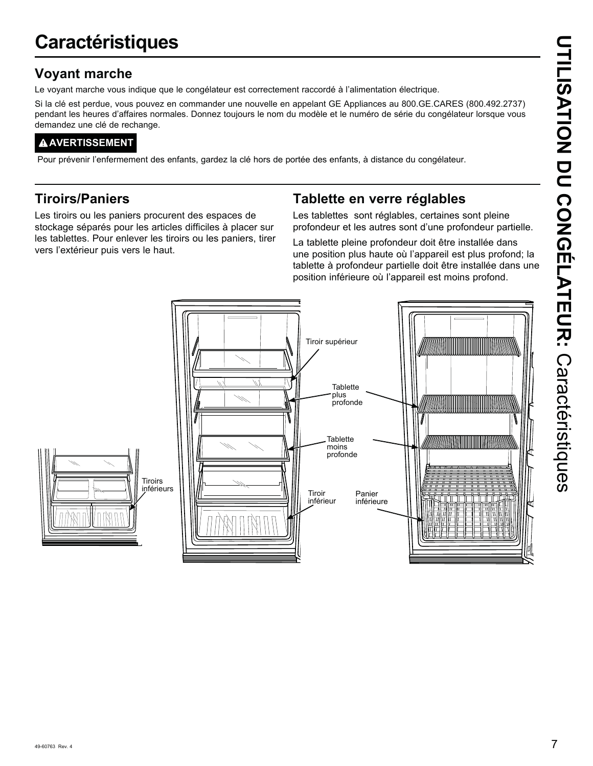# **Caractéristiques**

### **Voyant marche**

Le voyant marche vous indique que le congélateur est correctement raccordé à l'alimentation électrique.

Si la clé est perdue, vous pouvez en commander une nouvelle en appelant GE Appliances au 800.GE.CARES (800.492.2737) pendant les heures d'affaires normales. Donnez toujours le nom du modèle et le numéro de série du congélateur lorsque vous demandez une clé de rechange.

### **AVERTISSEMENT**

Pour prévenir l'enfermement des enfants, gardez la clé hors de portée des enfants, à distance du congélateur.

### **Tiroirs/Paniers**

Les tiroirs ou les paniers procurent des espaces de stockage séparés pour les articles difficiles à placer sur les tablettes. Pour enlever les tiroirs ou les paniers, tirer vers l'extérieur puis vers le haut.

### **Tablette en verre réglables**

Les tablettes sont réglables, certaines sont pleine profondeur et les autres sont d'une profondeur partielle.

La tablette pleine profondeur doit être installée dans une position plus haute où l'appareil est plus profond; la tablette à profondeur partielle doit être installée dans une position inférieure où l'appareil est moins profond.

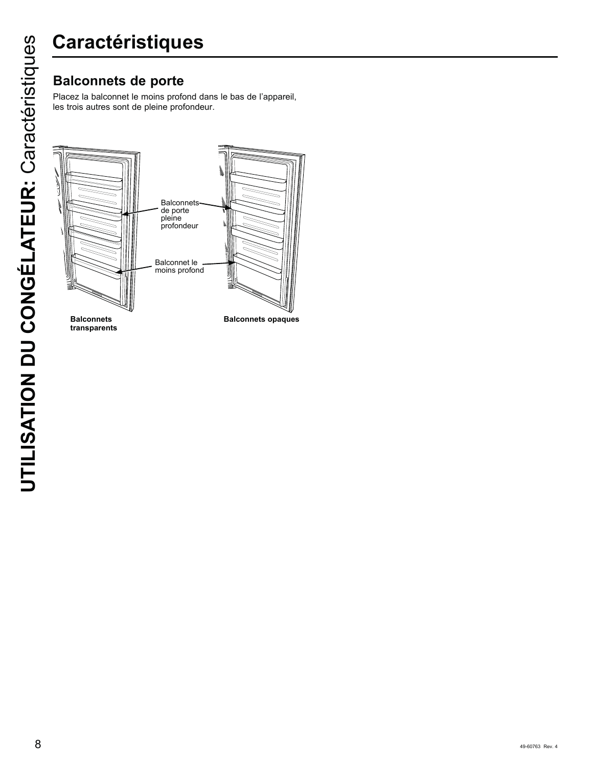Placez la balconnet le moins profond dans le bas de l'appareil, les trois autres sont de pleine profondeur.



**Balconnets transparents**

**Balconnets opaques**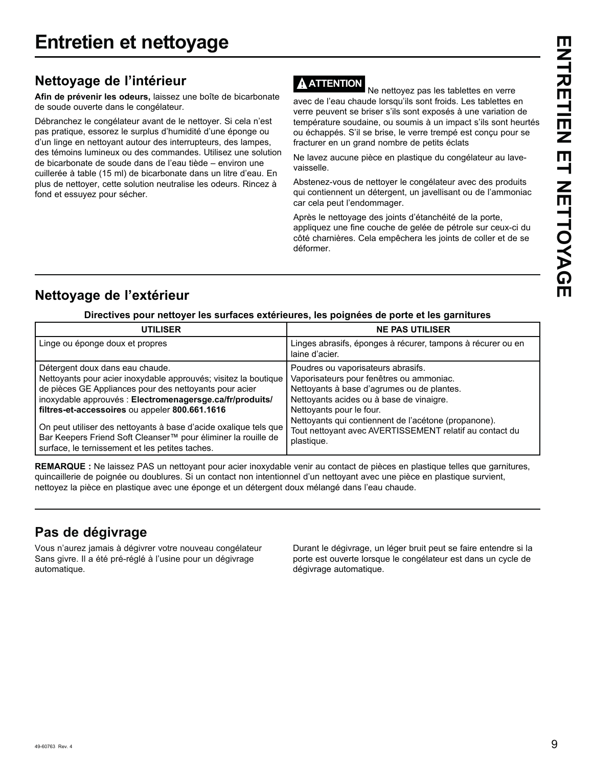### **Nettoyage de l'intérieur**

**Afin de prévenir les odeurs,** laissez une boîte de bicarbonate de soude ouverte dans le congélateur.

Débranchez le congélateur avant de le nettoyer. Si cela n'est pas pratique, essorez le surplus d'humidité d'une éponge ou d'un linge en nettoyant autour des interrupteurs, des lampes, des témoins lumineux ou des commandes. Utilisez une solution de bicarbonate de soude dans de l'eau tiède – environ une cuillerée à table (15 ml) de bicarbonate dans un litre d'eau. En plus de nettoyer, cette solution neutralise les odeurs. Rincez à fond et essuyez pour sécher.

### **ATTENTION**

 Ne nettoyez pas les tablettes en verre avec de l'eau chaude lorsqu'ils sont froids. Les tablettes en verre peuvent se briser s'ils sont exposés à une variation de température soudaine, ou soumis à un impact s'ils sont heurtés ou échappés. S'il se brise, le verre trempé est conçu pour se fracturer en un grand nombre de petits éclats

Ne lavez aucune pièce en plastique du congélateur au lavevaisselle.

Abstenez-vous de nettoyer le congélateur avec des produits qui contiennent un détergent, un javellisant ou de l'ammoniac car cela peut l'endommager.

Après le nettoyage des joints d'étanchéité de la porte, appliquez une fine couche de gelée de pétrole sur ceux-ci du côté charnières. Cela empêchera les joints de coller et de se déformer.

### **Nettoyage de l'extérieur**

### **Directives pour nettoyer les surfaces extérieures, les poignées de porte et les garnitures**

| <b>UTILISER</b>                                                                                                                                                                                                                                                                                                                                                                                                                                                    | <b>NE PAS UTILISER</b>                                                                                                                                                                                                                                                                                                                |
|--------------------------------------------------------------------------------------------------------------------------------------------------------------------------------------------------------------------------------------------------------------------------------------------------------------------------------------------------------------------------------------------------------------------------------------------------------------------|---------------------------------------------------------------------------------------------------------------------------------------------------------------------------------------------------------------------------------------------------------------------------------------------------------------------------------------|
| Linge ou éponge doux et propres                                                                                                                                                                                                                                                                                                                                                                                                                                    | Linges abrasifs, éponges à récurer, tampons à récurer ou en<br>laine d'acier.                                                                                                                                                                                                                                                         |
| Détergent doux dans eau chaude.<br>Nettoyants pour acier inoxydable approuvés; visitez la boutique<br>de pièces GE Appliances pour des nettoyants pour acier<br>inoxydable approuvés : Electromenagersge.ca/fr/produits/<br>filtres-et-accessoires ou appeler 800.661.1616<br>On peut utiliser des nettoyants à base d'acide oxalique tels que<br>Bar Keepers Friend Soft Cleanser™ pour éliminer la rouille de<br>surface, le ternissement et les petites taches. | Poudres ou vaporisateurs abrasifs.<br>Vaporisateurs pour fenêtres ou ammoniac.<br>Nettoyants à base d'agrumes ou de plantes.<br>Nettoyants acides ou à base de vinaigre.<br>Nettoyants pour le four.<br>Nettoyants qui contiennent de l'acétone (propanone).<br>Tout nettoyant avec AVERTISSEMENT relatif au contact du<br>plastique. |

**REMARQUE :** Ne laissez PAS un nettoyant pour acier inoxydable venir au contact de pièces en plastique telles que garnitures, quincaillerie de poignée ou doublures. Si un contact non intentionnel d'un nettoyant avec une pièce en plastique survient, nettoyez la pièce en plastique avec une éponge et un détergent doux mélangé dans l'eau chaude.

### **Pas de dégivrage**

Vous n'aurez jamais à dégivrer votre nouveau congélateur Sans givre. Il a été pré-réglé à l'usine pour un dégivrage automatique.

Durant le dégivrage, un léger bruit peut se faire entendre si la porte est ouverte lorsque le congélateur est dans un cycle de dégivrage automatique.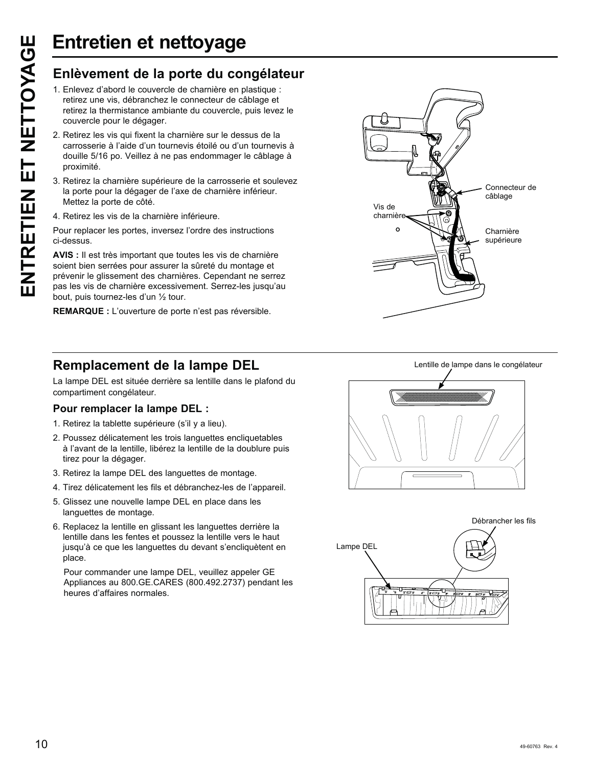- 1. Enlevez d'abord le couvercle de charnière en plastique : retirez une vis, débranchez le connecteur de câblage et retirez la thermistance ambiante du couvercle, puis levez le couvercle pour le dégager.
- 2. Retirez les vis qui fixent la charnière sur le dessus de la carrosserie à l'aide d'un tournevis étoilé ou d'un tournevis à douille 5/16 po. Veillez à ne pas endommager le câblage à proximité.
- 3. Retirez la charnière supérieure de la carrosserie et soulevez la porte pour la dégager de l'axe de charnière inférieur. Mettez la porte de côté.
- 4. Retirez les vis de la charnière inférieure.

Pour replacer les portes, inversez l'ordre des instructions ci-dessus.

Entretien et nettoyage<br>
Enlèvement de la porte du congélateur<br>
1. Enlevez d'abord le couvercle de chamière en plastique :<br>
retirez la thermistance ambiante du couvercle, puis levez le<br>
couvercle pour le dégager.<br>
2. Retire **AVIS** : Il est très important que toutes les vis de charnière soient bien serrées pour assurer la sûreté du montage et prévenir le glissement des charnières. Cependant ne serrez pas les vis de charnière excessivement. Serrez-les jusqu'au bout, puis tournez-les d'un ½ tour.

**REMARQUE :** L'ouverture de porte n'est pas réversible.



La lampe DEL est située derrière sa lentille dans le plafond du compartiment congélateur.

### **Pour remplacer la lampe DEL :**

- 1. Retirez la tablette supérieure (s'il y a lieu).
- 2. Poussez délicatement les trois languettes encliquetables à l'avant de la lentille, libérez la lentille de la doublure puis tirez pour la dégager.
- 3. Retirez la lampe DEL des languettes de montage.
- 4. Tirez délicatement les fils et débranchez-les de l'appareil.
- 5. Glissez une nouvelle lampe DEL en place dans les languettes de montage.
- 6. Replacez la lentille en glissant les languettes derrière la lentille dans les fentes et poussez la lentille vers le haut jusqu'à ce que les languettes du devant s'encliquètent en place.

 Pour commander une lampe DEL, veuillez appeler GE Appliances au 800.GE.CARES (800.492.2737) pendant les heures d'affaires normales.





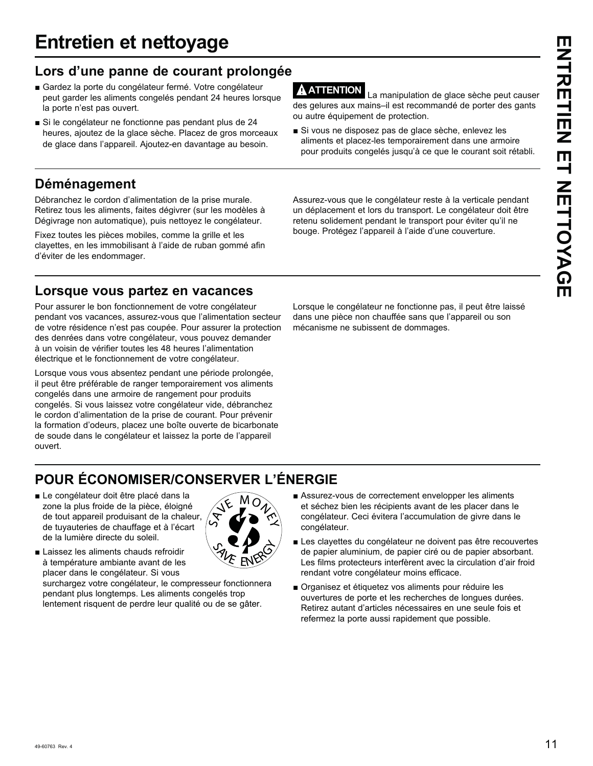# **Entretien et nettoyage**

### **Lors d'une panne de courant prolongée**

- Gardez la porte du congélateur fermé. Votre congélateur peut garder les aliments congelés pendant 24 heures lorsque la porte n'est pas ouvert.
- Si le congélateur ne fonctionne pas pendant plus de 24 heures, ajoutez de la glace sèche. Placez de gros morceaux de glace dans l'appareil. Ajoutez-en davantage au besoin.

### **Déménagement**

Débranchez le cordon d'alimentation de la prise murale. Retirez tous les aliments, faites dégivrer (sur les modèles à Dégivrage non automatique), puis nettoyez le congélateur.

Fixez toutes les pièces mobiles, comme la grille et les clayettes, en les immobilisant à l'aide de ruban gommé afin d'éviter de les endommager.

### **Lorsque vous partez en vacances**

Pour assurer le bon fonctionnement de votre congélateur pendant vos vacances, assurez-vous que l'alimentation secteur de votre résidence n'est pas coupée. Pour assurer la protection des denrées dans votre congélateur, vous pouvez demander à un voisin de vérifier toutes les 48 heures l'alimentation électrique et le fonctionnement de votre congélateur.

Lorsque vous vous absentez pendant une période prolongée, il peut être préférable de ranger temporairement vos aliments congelés dans une armoire de rangement pour produits congelés. Si vous laissez votre congélateur vide, débranchez le cordon d'alimentation de la prise de courant. Pour prévenir la formation d'odeurs, placez une boîte ouverte de bicarbonate de soude dans le congélateur et laissez la porte de l'appareil ouvert.

**ATTENTION** La manipulation de glace sèche peut causer des gelures aux mains–il est recommandé de porter des gants ou autre équipement de protection.

Si vous ne disposez pas de glace sèche, enlevez les aliments et placez-les temporairement dans une armoire pour produits congelés jusqu'à ce que le courant soit rétabli.

Assurez-vous que le congélateur reste à la verticale pendant un déplacement et lors du transport. Le congélateur doit être retenu solidement pendant le transport pour éviter qu'il ne bouge. Protégez l'appareil à l'aide d'une couverture.

Lorsque le congélateur ne fonctionne pas, il peut être laissé dans une pièce non chauffée sans que l'appareil ou son mécanisme ne subissent de dommages.

# **POUR ÉCONOMISER/CONSERVER L'ÉNERGIE**

Le congélateur doit être placé dans la zone la plus froide de la pièce, éloigné de tout appareil produisant de la chaleur, de tuyauteries de chauffage et à l'écart de la lumière directe du soleil.



Laissez les aliments chauds refroidir à température ambiante avant de les placer dans le congélateur. Si vous

surchargez votre congélateur, le compresseur fonctionnera pendant plus longtemps. Les aliments congelés trop lentement risquent de perdre leur qualité ou de se gâter.

- Assurez-vous de correctement envelopper les aliments et séchez bien les récipients avant de les placer dans le congélateur. Ceci évitera l'accumulation de givre dans le congélateur.
- Les clayettes du congélateur ne doivent pas être recouvertes de papier aluminium, de papier ciré ou de papier absorbant. Les films protecteurs interfèrent avec la circulation d'air froid rendant votre congélateur moins efficace.
- Organisez et étiquetez vos aliments pour réduire les ouvertures de porte et les recherches de longues durées. Retirez autant d'articles nécessaires en une seule fois et refermez la porte aussi rapidement que possible.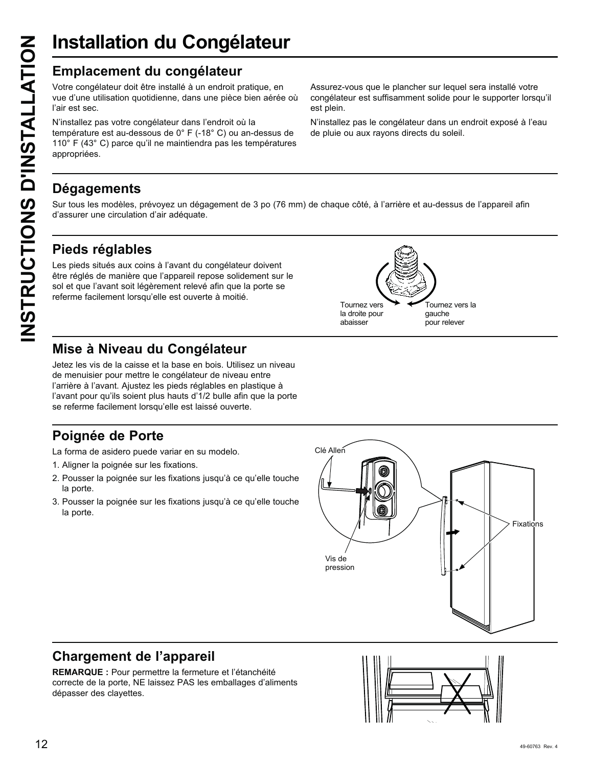# **Installation du Congélateur**

Votre congélateur doit être installé à un endroit pratique, en vue d'une utilisation quotidienne, dans une pièce bien aérée où l'air est sec.

**INSTRUCTION CONGÉLATION CONGENTS CONGENTS D'AU CONGENTS (CONGENTS Vote congélateur doit être installé à un endroit p<br>
vue d'une utilisation quotidienne, dans une pièce<br>
l'air est sec.<br>
N'installez pas votre congélateur da** N'installez pas votre congélateur dans l'endroit où la température est au-dessous de 0° F (-18° C) ou an-dessus de 110° F (43° C) parce qu'il ne maintiendra pas les températures appropriées.

Assurez-vous que le plancher sur lequel sera installé votre congélateur est suffisamment solide pour le supporter lorsqu'il est plein.

N'installez pas le congélateur dans un endroit exposé à l'eau de pluie ou aux rayons directs du soleil.

> Tournez vers la gauche pour relever

### **Dégagements**

Sur tous les modèles, prévoyez un dégagement de 3 po (76 mm) de chaque côté, à l'arrière et au-dessus de l'appareil afin d'assurer une circulation d'air adéquate.

> Tournez vers la droite pour abaisser

### **Pieds réglables**

Les pieds situés aux coins à l'avant du congélateur doivent être réglés de manière que l'appareil repose solidement sur le sol et que l'avant soit légèrement relevé afin que la porte se referme facilement lorsqu'elle est ouverte à moitié.

### **Mise à Niveau du Congélateur**

Jetez les vis de la caisse et la base en bois. Utilisez un niveau de menuisier pour mettre le congélateur de niveau entre l'arrière à l'avant. Ajustez les pieds réglables en plastique à l'avant pour qu'ils soient plus hauts d'1/2 bulle afin que la porte se referme facilement lorsqu'elle est laissé ouverte.

### **Poignée de Porte**

La forma de asidero puede variar en su modelo.

- 1. Aligner la poignée sur les fixations.
- 2. Pousser la poignée sur les fixations jusqu'à ce qu'elle touche la porte.
- 3. Pousser la poignée sur les fixations jusqu'à ce qu'elle touche la porte.



### **Chargement de l'appareil**

**REMARQUE :** Pour permettre la fermeture et l'étanchéité correcte de la porte, NE laissez PAS les emballages d'aliments dépasser des clayettes.

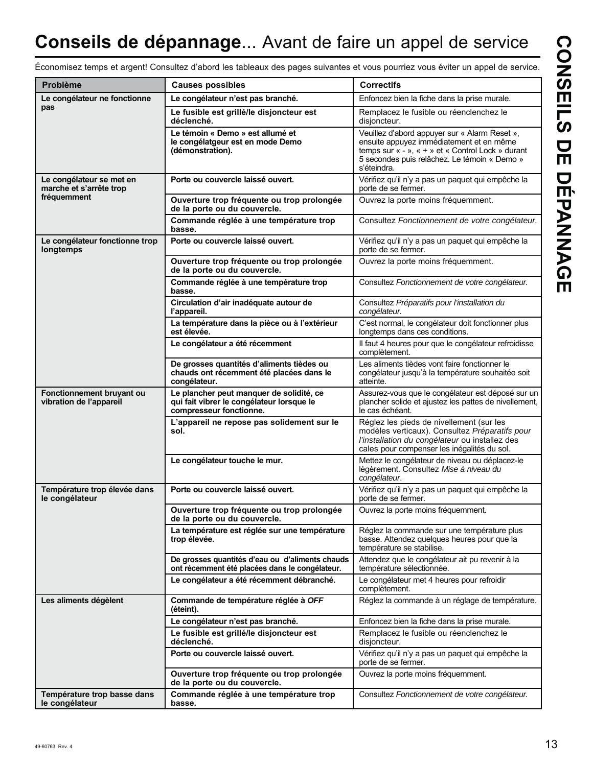# **Conseils de dépannage**... Avant de faire un appel de service

**CONSEILS DE DÉPANNAGE CONSEILS DE DÉPANNAGE**

Économisez temps et argent! Consultez d'abord les tableaux des pages suivantes et vous pourriez vous éviter un appel de service.

| Problème                                             | <b>Causes possibles</b>                                                                                          | <b>Correctifs</b>                                                                                                                                                                                             |
|------------------------------------------------------|------------------------------------------------------------------------------------------------------------------|---------------------------------------------------------------------------------------------------------------------------------------------------------------------------------------------------------------|
| Le congélateur ne fonctionne                         | Le congélateur n'est pas branché.                                                                                | Enfoncez bien la fiche dans la prise murale.                                                                                                                                                                  |
| pas                                                  | Le fusible est grillé/le disjoncteur est<br>déclenché.                                                           | Remplacez le fusible ou réenclenchez le<br>disjoncteur.                                                                                                                                                       |
|                                                      | Le témoin « Demo » est allumé et<br>le congélatgeur est en mode Demo<br>(démonstration).                         | Veuillez d'abord appuyer sur « Alarm Reset »,<br>ensuite appuyez immédiatement et en même<br>temps sur « - », « + » et « Control Lock » durant<br>5 secondes puis relâchez. Le témoin « Demo »<br>s'éteindra. |
| Le congélateur se met en<br>marche et s'arrête trop  | Porte ou couvercle laissé ouvert.                                                                                | Vérifiez qu'il n'y a pas un paquet qui empêche la<br>porte de se fermer.                                                                                                                                      |
| fréquemment                                          | Ouverture trop fréquente ou trop prolongée<br>de la porte ou du couvercle.                                       | Ouvrez la porte moins fréquemment.                                                                                                                                                                            |
|                                                      | Commande réglée à une température trop<br>basse.                                                                 | Consultez Fonctionnement de votre congélateur.                                                                                                                                                                |
| Le congélateur fonctionne trop<br>longtemps          | Porte ou couvercle laissé ouvert.                                                                                | Vérifiez qu'il n'y a pas un paquet qui empêche la<br>porte de se fermer.                                                                                                                                      |
|                                                      | Ouverture trop fréquente ou trop prolongée<br>de la porte ou du couvercle.                                       | Ouvrez la porte moins fréquemment.                                                                                                                                                                            |
|                                                      | Commande réglée à une température trop<br>basse.                                                                 | Consultez Fonctionnement de votre congélateur.                                                                                                                                                                |
|                                                      | Circulation d'air inadéquate autour de<br>l'appareil.                                                            | Consultez Préparatifs pour l'installation du<br>congélateur.                                                                                                                                                  |
|                                                      | La température dans la pièce ou à l'extérieur<br>est élevée.                                                     | C'est normal, le congélateur doit fonctionner plus<br>longtemps dans ces conditions.                                                                                                                          |
|                                                      | Le congélateur a été récemment                                                                                   | Il faut 4 heures pour que le congélateur refroidisse<br>complètement.                                                                                                                                         |
|                                                      | De grosses quantités d'aliments tièdes ou<br>chauds ont récemment été placées dans le<br>congélateur.            | Les aliments tièdes vont faire fonctionner le<br>congélateur jusqu'à la température souhaitée soit<br>atteinte.                                                                                               |
| Fonctionnement bruyant ou<br>vibration de l'appareil | Le plancher peut manquer de solidité, ce<br>qui fait vibrer le congélateur lorsque le<br>compresseur fonctionne. | Assurez-vous que le congélateur est déposé sur un<br>plancher solide et ajustez les pattes de nivellement,<br>le cas échéant.                                                                                 |
|                                                      | L'appareil ne repose pas solidement sur le<br>sol.                                                               | Réglez les pieds de nivellement (sur les<br>modèles verticaux). Consultez Préparatifs pour<br>l'installation du congélateur ou installez des<br>cales pour compenser les inégalités du sol.                   |
|                                                      | Le congélateur touche le mur.                                                                                    | Mettez le congélateur de niveau ou déplacez-le<br>légèrement. Consultez Mise à niveau du<br>congélateur.                                                                                                      |
| Température trop élevée dans<br>le congélateur       | Porte ou couvercle laissé ouvert.                                                                                | Vérifiez qu'il n'y a pas un paquet qui empêche la<br>porte de se fermer.                                                                                                                                      |
|                                                      | Ouverture trop fréquente ou trop prolongée<br>de la porte ou du couvercle.                                       | Ouvrez la porte moins fréquemment.                                                                                                                                                                            |
|                                                      | La température est réglée sur une température<br>trop élevée.                                                    | Réglez la commande sur une température plus<br>basse. Attendez quelques heures pour que la<br>température se stabilise.                                                                                       |
|                                                      | De grosses quantités d'eau ou d'aliments chauds<br>ont récemment été placées dans le congélateur.                | Attendez que le congélateur ait pu revenir à la<br>température sélectionnée.                                                                                                                                  |
|                                                      | Le congélateur a été récemment débranché.                                                                        | Le congélateur met 4 heures pour refroidir<br>complètement.                                                                                                                                                   |
| Les aliments dégèlent                                | Commande de température réglée à OFF<br>(éteint).                                                                | Réglez la commande à un réglage de température.                                                                                                                                                               |
|                                                      | Le congélateur n'est pas branché.                                                                                | Enfoncez bien la fiche dans la prise murale.                                                                                                                                                                  |
|                                                      | Le fusible est grillé/le disjoncteur est<br>déclenché.                                                           | Remplacez le fusible ou réenclenchez le<br>disjoncteur.                                                                                                                                                       |
|                                                      | Porte ou couvercle laissé ouvert.                                                                                | Vérifiez qu'il n'y a pas un paquet qui empêche la<br>porte de se fermer.                                                                                                                                      |
|                                                      | Ouverture trop fréquente ou trop prolongée<br>de la porte ou du couvercle.                                       | Ouvrez la porte moins fréquemment.                                                                                                                                                                            |
| Température trop basse dans<br>le congélateur        | Commande réglée à une température trop<br>basse.                                                                 | Consultez Fonctionnement de votre congélateur.                                                                                                                                                                |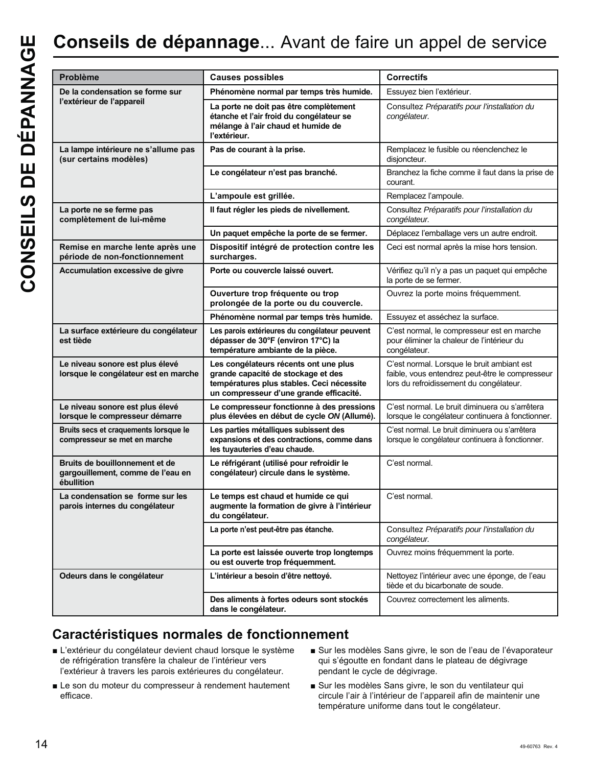| Problème                                                                          | <b>Causes possibles</b>                                                                                                                                             | <b>Correctifs</b>                                                                                                                        |
|-----------------------------------------------------------------------------------|---------------------------------------------------------------------------------------------------------------------------------------------------------------------|------------------------------------------------------------------------------------------------------------------------------------------|
| De la condensation se forme sur                                                   | Phénomène normal par temps très humide.                                                                                                                             | Essuyez bien l'extérieur.                                                                                                                |
| l'extérieur de l'appareil                                                         | La porte ne doit pas être complètement<br>étanche et l'air froid du congélateur se<br>mélange à l'air chaud et humide de<br>l'extérieur.                            | Consultez Préparatifs pour l'installation du<br>congélateur.                                                                             |
| La lampe intérieure ne s'allume pas<br>(sur certains modèles)                     | Pas de courant à la prise.                                                                                                                                          | Remplacez le fusible ou réenclenchez le<br>disjoncteur.                                                                                  |
|                                                                                   | Le congélateur n'est pas branché.                                                                                                                                   | Branchez la fiche comme il faut dans la prise de<br>courant.                                                                             |
|                                                                                   | L'ampoule est grillée.                                                                                                                                              | Remplacez l'ampoule.                                                                                                                     |
| La porte ne se ferme pas<br>complètement de lui-même                              | Il faut régler les pieds de nivellement.                                                                                                                            | Consultez Préparatifs pour l'installation du<br>congélateur.                                                                             |
|                                                                                   | Un paquet empêche la porte de se fermer.                                                                                                                            | Déplacez l'emballage vers un autre endroit.                                                                                              |
| Remise en marche lente après une<br>période de non-fonctionnement                 | Dispositif intégré de protection contre les<br>surcharges.                                                                                                          | Ceci est normal après la mise hors tension.                                                                                              |
| Accumulation excessive de givre                                                   | Porte ou couvercle laissé ouvert.                                                                                                                                   | Vérifiez qu'il n'y a pas un paquet qui empêche<br>la porte de se fermer.                                                                 |
|                                                                                   | Ouverture trop fréquente ou trop<br>prolongée de la porte ou du couvercle.                                                                                          | Ouvrez la porte moins fréquemment.                                                                                                       |
|                                                                                   | Phénomène normal par temps très humide.                                                                                                                             | Essuyez et asséchez la surface.                                                                                                          |
| La surface extérieure du congélateur<br>est tiède                                 | Les parois extérieures du congélateur peuvent<br>dépasser de 30°F (environ 17°C) la<br>température ambiante de la pièce.                                            | C'est normal, le compresseur est en marche<br>pour éliminer la chaleur de l'intérieur du<br>congélateur.                                 |
| Le niveau sonore est plus élevé<br>lorsque le congélateur est en marche           | Les congélateurs récents ont une plus<br>grande capacité de stockage et des<br>températures plus stables. Ceci nécessite<br>un compresseur d'une grande efficacité. | C'est normal. Lorsque le bruit ambiant est<br>faible, vous entendrez peut-être le compresseur<br>lors du refroidissement du congélateur. |
| Le niveau sonore est plus élevé<br>lorsque le compresseur démarre                 | Le compresseur fonctionne à des pressions<br>plus élevées en début de cycle ON (Allumé).                                                                            | C'est normal. Le bruit diminuera ou s'arrêtera<br>lorsque le congélateur continuera à fonctionner.                                       |
| Bruits secs et craquements lorsque le<br>compresseur se met en marche             | Les parties métalliques subissent des<br>expansions et des contractions, comme dans<br>les tuyauteries d'eau chaude.                                                | C'est normal. Le bruit diminuera ou s'arrêtera<br>lorsque le congélateur continuera à fonctionner.                                       |
| Bruits de bouillonnement et de<br>gargouillement, comme de l'eau en<br>ébullition | Le réfrigérant (utilisé pour refroidir le<br>congélateur) circule dans le système.                                                                                  | C'est normal.                                                                                                                            |
| La condensation se forme sur les<br>parois internes du congélateur                | Le temps est chaud et humide ce qui<br>augmente la formation de givre à l'intérieur<br>du congélateur.                                                              | C'est normal.                                                                                                                            |
|                                                                                   | La porte n'est peut-être pas étanche.                                                                                                                               | Consultez Préparatifs pour l'installation du<br>congélateur.                                                                             |
|                                                                                   | La porte est laissée ouverte trop longtemps<br>ou est ouverte trop fréquemment.                                                                                     | Ouvrez moins fréquemment la porte.                                                                                                       |
| Odeurs dans le congélateur                                                        | L'intérieur a besoin d'être nettoyé.                                                                                                                                | Nettoyez l'intérieur avec une éponge, de l'eau<br>tiède et du bicarbonate de soude.                                                      |
|                                                                                   | Des aliments à fortes odeurs sont stockés<br>dans le congélateur.                                                                                                   | Couvrez correctement les aliments.                                                                                                       |
|                                                                                   |                                                                                                                                                                     |                                                                                                                                          |

### **Caractéristiques normales de fonctionnement**

- L'extérieur du congélateur devient chaud lorsque le système de réfrigération transfère la chaleur de l'intérieur vers l'extérieur à travers les parois extérieures du congélateur.
- Le son du moteur du compresseur à rendement hautement efficace.
- Sur les modèles Sans givre, le son de l'eau de l'évaporateur qui s'égoutte en fondant dans le plateau de dégivrage pendant le cycle de dégivrage.
- Sur les modèles Sans givre, le son du ventilateur qui circule l'air à l'intérieur de l'appareil afin de maintenir une température uniforme dans tout le congélateur.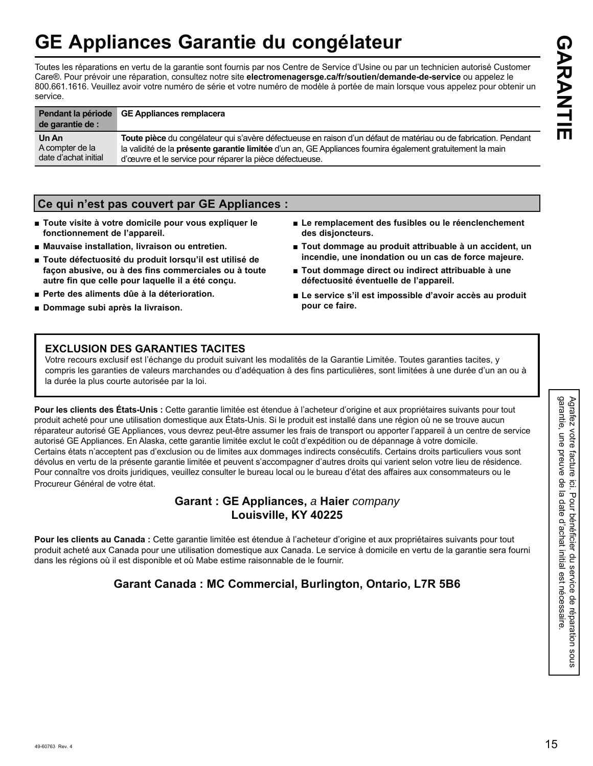# **GE Appliances Garantie du congélateur**

Toutes les réparations en vertu de la garantie sont fournis par nos Centre de Service d'Usine ou par un technicien autorisé Customer Care®. Pour prévoir une réparation, consultez notre site electromenagersge.ca/fr/soutien/demande-de-service ou appelez le 800.661.1616. Veuillez avoir votre numéro de série et votre numéro de modèle à portée de main lorsque vous appelez pour obtenir un service.

| Pendant la période<br>de garantie de : | GE Appliances remplacera                                                                                          |
|----------------------------------------|-------------------------------------------------------------------------------------------------------------------|
| Un An                                  | Toute pièce du congélateur qui s'avère défectueuse en raison d'un défaut de matériau ou de fabrication. Pendant   |
| A compter de la                        | la validité de la <b>présente garantie limitée</b> d'un an, GE Appliances fournira également gratuitement la main |
| date d'achat initial                   | d'œuvre et le service pour réparer la pièce défectueuse.                                                          |

### **Ce qui n'est pas couvert par GE Appliances :**

- Toute visite à votre domicile pour vous expliquer le **fonctionnement de l'appareil.**
- $\blacksquare$  Mauvaise installation, livraison ou entretien.
- **Ŷ Toute défectuosité du produit lorsqu'il est utilisé de façon abusive, ou à des fins commerciales ou à toute autre fin que celle pour laquelle il a été conçu.**
- **Perte des aliments dûe à la déterioration.**
- **Ŷ Dommage subi après la livraison.**
- Le remplacement des fusibles ou le réenclenchement **des disjoncteurs.**
- Tout dommage au produit attribuable à un accident, un **incendie, une inondation ou un cas de force majeure.**
- Tout dommage direct ou indirect attribuable à une **défectuosité éventuelle de l'appareil.**
- **Ŷ Le service s'il est impossible d'avoir accès au produit pour ce faire.**

### **EXCLUSION DES GARANTIES TACITES**

Votre recours exclusif est l'échange du produit suivant les modalités de la Garantie Limitée. Toutes garanties tacites, y compris les garanties de valeurs marchandes ou d'adéquation à des fins particulières, sont limitées à une durée d'un an ou à la durée la plus courte autorisée par la loi.

Pour les clients des États-Unis : Cette garantie limitée est étendue à l'acheteur d'origine et aux propriétaires suivants pour tout produit acheté pour une utilisation domestique aux États-Unis. Si le produit est installé dans une région où ne se trouve aucun réparateur autorisé GE Appliances, vous devrez peut-être assumer les frais de transport ou apporter l'appareil à un centre de service autorisé GE Appliances. En Alaska, cette garantie limitée exclut le coût d'expédition ou de dépannage à votre domicile. Certains états n'acceptent pas d'exclusion ou de limites aux dommages indirects consécutifs. Certains droits particuliers vous sont dévolus en vertu de la présente garantie limitée et peuvent s'accompagner d'autres droits qui varient selon votre lieu de résidence. Pour connaître vos droits juridiques, veuillez consulter le bureau local ou le bureau d'état des affaires aux consommateurs ou le Procureur Général de votre état.

### **Garant : GE Appliances,** *a* **Haier** *company*  **Louisville, KY 40225**

Pour les clients au Canada : Cette garantie limitée est étendue à l'acheteur d'origine et aux propriétaires suivants pour tout produit acheté aux Canada pour une utilisation domestique aux Canada. Le service à domicile en vertu de la garantie sera fourni dans les régions où il est disponible et où Mabe estime raisonnable de le fournir.

### **Garant Canada : MC Commercial, Burlington, Ontario, L7R 5B6**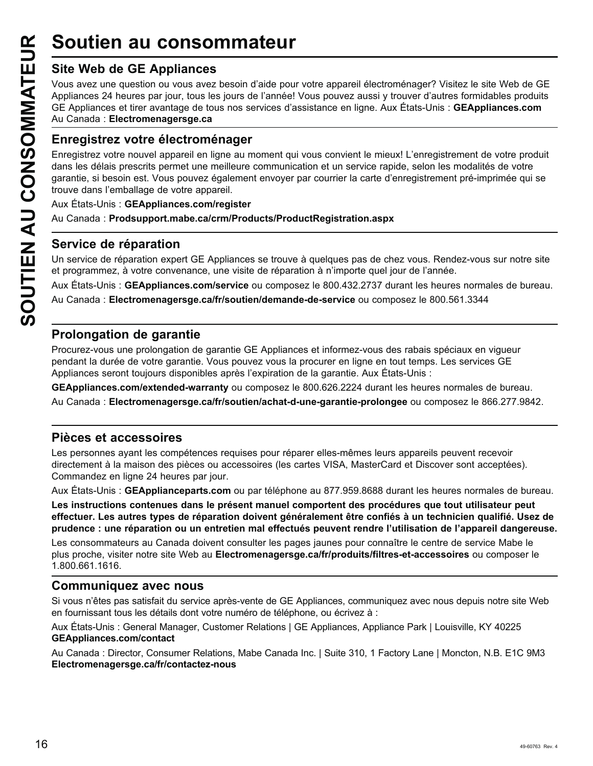### **Site Web de GE Appliances**

Vous avez une question ou vous avez besoin d'aide pour votre appareil électroménager? Visitez le site Web de GE Appliances 24 heures par jour, tous les jours de l'année! Vous pouvez aussi y trouver d'autres formidables produits GE Appliances et tirer avantage de tous nos services d'assistance en ligne. Aux États-Unis : GEAppliances.com Au Canada: Electromenagersge.ca

### **Enregistrez votre électroménager**

**Soutien au consommateur<br>
Site Web de GE Appliances**<br>
Vous avez une question ou vous avez besoin d'aide pou<br>
Appliances 24 heures par jour, tous les jours de l'année!<br>
GE Appliances et tirer avantage de tous nos services d Enregistrez votre nouvel appareil en ligne au moment qui vous convient le mieux! L'enregistrement de votre produit dans les délais prescrits permet une meilleure communication et un service rapide, selon les modalités de votre garantie, si besoin est. Vous pouvez également envoyer par courrier la carte d'enregistrement pré-imprimée qui se trouve dans l'emballage de votre appareil.

Aux États-Unis : **GEAppliances.com/register** 

Au Canada: **Prodsupport.mabe.ca/crm/Products/ProductRegistration.aspx** 

### **Service de réparation**

Un service de réparation expert GE Appliances se trouve à quelques pas de chez vous. Rendez-vous sur notre site et programmez, à votre convenance, une visite de réparation à n'importe quel jour de l'année.

Aux États-Unis : GEAppliances.com/service ou composez le 800.432.2737 durant les heures normales de bureau.

Au Canada: Electromenagersge.ca/fr/soutien/demande-de-service ou composez le 800.561.3344

### **Prolongation de garantie**

Procurez-vous une prolongation de garantie GE Appliances et informez-vous des rabais spéciaux en vigueur pendant la durée de votre garantie. Vous pouvez vous la procurer en ligne en tout temps. Les services GE Appliances seront toujours disponibles après l'expiration de la garantie. Aux États-Unis :

GEAppliances.com/extended-warranty ou composez le 800.626.2224 durant les heures normales de bureau.

Au Canada : Electromenagersge.ca/fr/soutien/achat-d-une-garantie-prolongee ou composez le 866.277.9842.

### **Pièces et accessoires**

Les personnes ayant les compétences requises pour réparer elles-mêmes leurs appareils peuvent recevoir directement à la maison des pièces ou accessoires (les cartes VISA, MasterCard et Discover sont acceptées). Commandez en ligne 24 heures par jour.

Aux États-Unis : GEApplianceparts.com ou par téléphone au 877.959.8688 durant les heures normales de bureau.

**Les instructions contenues dans le présent manuel comportent des procédures que tout utilisateur peut effectuer. Les autres types de réparation doivent généralement être confiés à un technicien qualifié. Usez de prudence : une réparation ou un entretien mal effectués peuvent rendre l'utilisation de l'appareil dangereuse.**

Les consommateurs au Canada doivent consulter les pages jaunes pour connaître le centre de service Mabe le plus proche, visiter notre site Web au **Electromenagersge.ca/fr/produits/filtres-et-accessoires** ou composer le 1.800.661.1616.

### **Communiquez avec nous**

Si vous n'êtes pas satisfait du service après-vente de GE Appliances, communiquez avec nous depuis notre site Web en fournissant tous les détails dont votre numéro de téléphone, ou écrivez à :

Aux États-Unis : General Manager, Customer Relations | GE Appliances, Appliance Park | Louisville, KY 40225 **GEAppliances.com/contact**

Au Canada : Director, Consumer Relations, Mabe Canada Inc. | Suite 310, 1 Factory Lane | Moncton, N.B. E1C 9M3 **Electromenagersge.ca/fr/contactez-nous**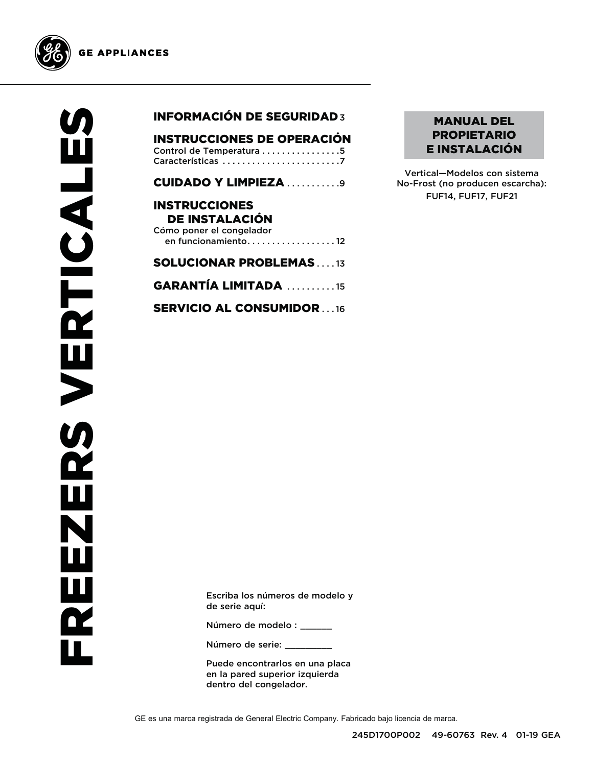

**GE APPLIANCES** 

### INFORMACIÓN DE SEGURIDAD 3

| <b>INSTRUCCIONES DE OPERACIÓN</b> |
|-----------------------------------|
| Control de Temperatura 5          |
|                                   |

CUIDADO Y LIMPIEZA . . . . . . . . . . 9

### INSTRUCCIONES DE INSTALACIÓN Cómo poner el congelador en funcionamiento . . . . . . . . . . . . . . . . . . 12

### SOLUCIONAR PROBLEMAS . . . . 13

GARANTÍA LIMITADA . . . . . . . . . . 15

SERVICIO AL CONSUMIDOR . . . 16

### MANUAL DEL PROPIETARIO E INSTALACIÓN

Vertical—Modelos con sistema No-Frost (no producen escarcha): FUF14, FUF17, FUF21

Escriba los números de modelo y de serie aquí:

Número de modelo : \_\_\_\_\_\_

Número de serie:

Puede encontrarlos en una placa en la pared superior izquierda dentro del congelador.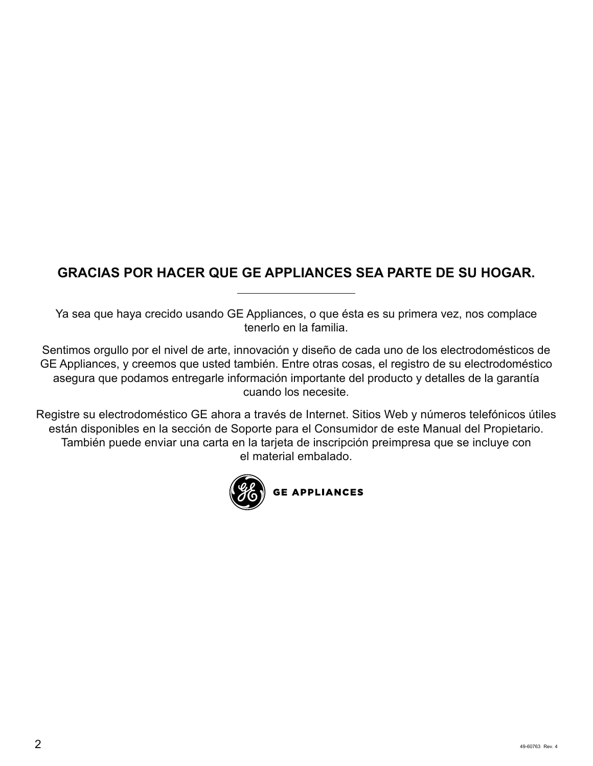### **GRACIAS POR HACER QUE GE APPLIANCES SEA PARTE DE SU HOGAR.**

Ya sea que haya crecido usando GE Appliances, o que ésta es su primera vez, nos complace tenerlo en la familia.

Sentimos orgullo por el nivel de arte, innovación y diseño de cada uno de los electrodomésticos de GE Appliances, y creemos que usted también. Entre otras cosas, el registro de su electrodoméstico asegura que podamos entregarle información importante del producto y detalles de la garantía cuando los necesite.

Registre su electrodoméstico GE ahora a través de Internet. Sitios Web y números telefónicos útiles están disponibles en la sección de Soporte para el Consumidor de este Manual del Propietario. También puede enviar una carta en la tarjeta de inscripción preimpresa que se incluye con el material embalado.

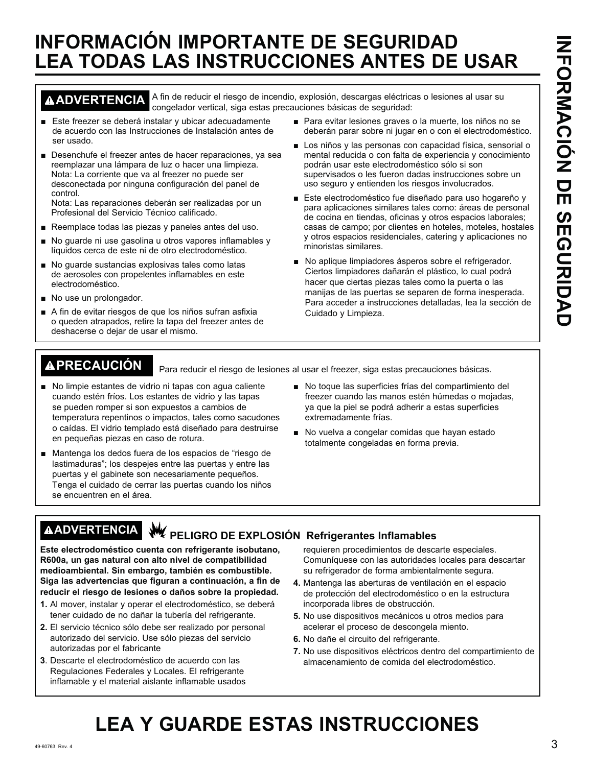# **INFORMACIÓN IMPORTANTE DE SEGURIDAD LEA TODAS LAS INSTRUCCIONES ANTES DE USAR**

**ADVERTENCIA** A fin de reducir el riesgo de incendio, explosión, descargas eléctricas o lesiones al usar su congelador vertical, siga estas precauciones básicas de seguridad:

- Este freezer se deberá instalar y ubicar adecuadamente de acuerdo con las Instrucciones de Instalación antes de ser usado.
- Desenchufe el freezer antes de hacer reparaciones, ya sea reemplazar una lámpara de luz o hacer una limpieza. Nota: La corriente que va al freezer no puede ser desconectada por ninguna configuración del panel de control.

Nota: Las reparaciones deberán ser realizadas por un Profesional del Servicio Técnico calificado.

- Reemplace todas las piezas y paneles antes del uso.
- No quarde ni use qasolina u otros vapores inflamables y líquidos cerca de este ni de otro electrodoméstico.
- No guarde sustancias explosivas tales como latas de aerosoles con propelentes inflamables en este electrodoméstico.
- No use un prolongador.
- A fin de evitar riesgos de que los niños sufran asfixia o queden atrapados, retire la tapa del freezer antes de deshacerse o dejar de usar el mismo.
- Para evitar lesiones graves o la muerte, los niños no se deberán parar sobre ni jugar en o con el electrodoméstico.
- Los niños y las personas con capacidad física, sensorial o mental reducida o con falta de experiencia y conocimiento podrán usar este electrodoméstico sólo si son supervisados o les fueron dadas instrucciones sobre un uso seguro y entienden los riesgos involucrados.
- Este electrodoméstico fue diseñado para uso hogareño y para aplicaciones similares tales como: áreas de personal de cocina en tiendas, oficinas y otros espacios laborales; casas de campo; por clientes en hoteles, moteles, hostales y otros espacios residenciales, catering y aplicaciones no minoristas similares.
- No aplique limpiadores ásperos sobre el refrigerador. Ciertos limpiadores dañarán el plástico, lo cual podrá hacer que ciertas piezas tales como la puerta o las manijas de las puertas se separen de forma inesperada. Para acceder a instrucciones detalladas, lea la sección de Cuidado y Limpieza.

**PRECAUCIÓN** Para reducir el riesgo de lesiones al usar el freezer, siga estas precauciones básicas.

- No limpie estantes de vidrio ni tapas con agua caliente cuando estén fríos. Los estantes de vidrio y las tapas se pueden romper si son expuestos a cambios de temperatura repentinos o impactos, tales como sacudones o caídas. El vidrio templado está diseñado para destruirse en pequeñas piezas en caso de rotura.
- Mantenga los dedos fuera de los espacios de "riesgo de lastimaduras"; los despejes entre las puertas y entre las puertas y el gabinete son necesariamente pequeños. Tenga el cuidado de cerrar las puertas cuando los niños se encuentren en el área.
- No toque las superficies frías del compartimiento del freezer cuando las manos estén húmedas o mojadas, ya que la piel se podrá adherir a estas superficies extremadamente frías.
- No vuelva a congelar comidas que hayan estado totalmente congeladas en forma previa.

## **AADVERTENCIA** W PELIGRO DE EXPLOSIÓN Refrigerantes Inflamables

**Este electrodoméstico cuenta con refrigerante isobutano, R600a, un gas natural con alto nivel de compatibilidad medioambiental. Sin embargo, también es combustible. Siga las advertencias que figuran a continuación, a fin de reducir el riesgo de lesiones o daños sobre la propiedad.**

- **1.** Al mover, instalar y operar el electrodoméstico, se deberá tener cuidado de no dañar la tubería del refrigerante.
- **2.** El servicio técnico sólo debe ser realizado por personal autorizado del servicio. Use sólo piezas del servicio autorizadas por el fabricante
- **3**. Descarte el electrodoméstico de acuerdo con las Regulaciones Federales y Locales. El refrigerante inflamable y el material aislante inflamable usados

requieren procedimientos de descarte especiales. Comuníquese con las autoridades locales para descartar su refrigerador de forma ambientalmente segura.

- **4.** Mantenga las aberturas de ventilación en el espacio de protección del electrodoméstico o en la estructura incorporada libres de obstrucción.
- 5. No use dispositivos mecánicos u otros medios para acelerar el proceso de descongela miento.
- 6. No dañe el circuito del refrigerante.
- **7.** No use dispositivos eléctricos dentro del compartimiento de almacenamiento de comida del electrodoméstico.

# **LEA Y GUARDE ESTAS INSTRUCCIONES**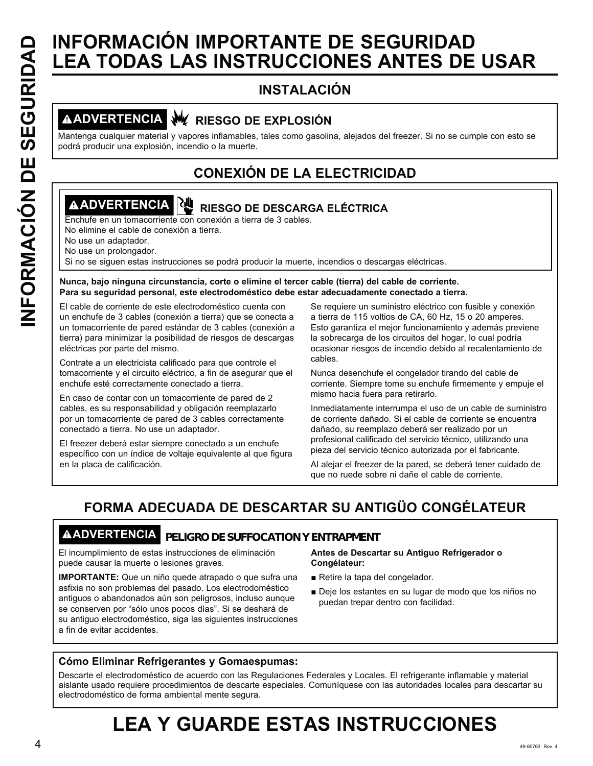# **INFORMACIÓN IMPORTANTE DE SEGURIDAD<br>
INSTALACIÓN<br>
INSTALACIÓN<br>
<b>INSTALACIÓN**<br> **INSTALACIÓN**<br> **INSTALACIÓN**<br> **INSTALACIÓN**<br> **INSTALACIÓN**<br> **INSTALACIÓN**<br> **INSTALACIÓN**<br> **INSTALACIÓN**<br> **INSTALACIÓN**<br> **INSTALACIÓN**<br> **INSTALA LEA TODAS LAS INSTRUCCIONES ANTES DE USAR**

### **INSTALACIÓN**

### **ADVERTENCIA RIESGO DE EXPLOSIÓN**

Mantenga cualquier material y vapores inflamables, tales como gasolina, alejados del freezer. Si no se cumple con esto se podrá producir una explosión, incendio o la muerte.

### **CONEXIÓN DE LA ELECTRICIDAD**

### **ADVERTENCIA RIESGO DE DESCARGA ELÉCTRICA**

Enchufe en un tomacorriente con conexión a tierra de 3 cables.

No elimine el cable de conexión a tierra.

No use un adaptador.

No use un prolongador.

Si no se siguen estas instrucciones se podrá producir la muerte, incendios o descargas eléctricas.

### **Nunca, bajo ninguna circunstancia, corte o elimine el tercer cable (tierra) del cable de corriente. Para su seguridad personal, este electrodoméstico debe estar adecuadamente conectado a tierra.**

El cable de corriente de este electrodoméstico cuenta con un enchufe de 3 cables (conexión a tierra) que se conecta a un tomacorriente de pared estándar de 3 cables (conexión a tierra) para minimizar la posibilidad de riesgos de descargas eléctricas por parte del mismo.

Contrate a un electricista calificado para que controle el tomacorriente y el circuito eléctrico, a fin de asegurar que el enchufe esté correctamente conectado a tierra.

En caso de contar con un tomacorriente de pared de 2 cables, es su responsabilidad y obligación reemplazarlo por un tomacorriente de pared de 3 cables correctamente conectado a tierra. No use un adaptador.

El freezer deberá estar siempre conectado a un enchufe específico con un índice de voltaje equivalente al que figura en la placa de calificación.

Se requiere un suministro eléctrico con fusible y conexión a tierra de 115 voltios de CA, 60 Hz, 15 o 20 amperes. Esto garantiza el mejor funcionamiento y además previene la sobrecarga de los circuitos del hogar, lo cual podría ocasionar riesgos de incendio debido al recalentamiento de cables.

Nunca desenchufe el congelador tirando del cable de corriente. Siempre tome su enchufe firmemente y empuje el mismo hacia fuera para retirarlo.

Inmediatamente interrumpa el uso de un cable de suministro de corriente dañado. Si el cable de corriente se encuentra dañado, su reemplazo deberá ser realizado por un profesional calificado del servicio técnico, utilizando una pieza del servicio técnico autorizada por el fabricante.

Al alejar el freezer de la pared, se deberá tener cuidado de que no ruede sobre ni dañe el cable de corriente.

### **FORMA ADECUADA DE DESCARTAR SU ANTIGÜO CONGÉLATEUR**

### **ADVERTENCIA PELIGRO DE SUFFOCATION Y ENTRAPMENT**

El incumplimiento de estas instrucciones de eliminación puede causar la muerte o lesiones graves.

**IMPORTANTE:** Que un niño quede atrapado o que sufra una asfixia no son problemas del pasado. Los electrodoméstico antiguos o abandonados aún son peligrosos, incluso aunque se conserven por "sólo unos pocos días". Si se deshará de su antiguo electrodoméstico, siga las siguientes instrucciones a fin de evitar accidentes.

### **Antes de Descartar su Antiguo Refrigerador o Congélateur:**

- Retire la tapa del congelador.
- Deje los estantes en su lugar de modo que los niños no puedan trepar dentro con facilidad.

### **Cómo Eliminar Refrigerantes y Gomaespumas:**

Descarte el electrodoméstico de acuerdo con las Regulaciones Federales y Locales. El refrigerante inflamable y material aislante usado requiere procedimientos de descarte especiales. Comuníquese con las autoridades locales para descartar su electrodoméstico de forma ambiental mente segura.

# **LEA Y GUARDE ESTAS INSTRUCCIONES**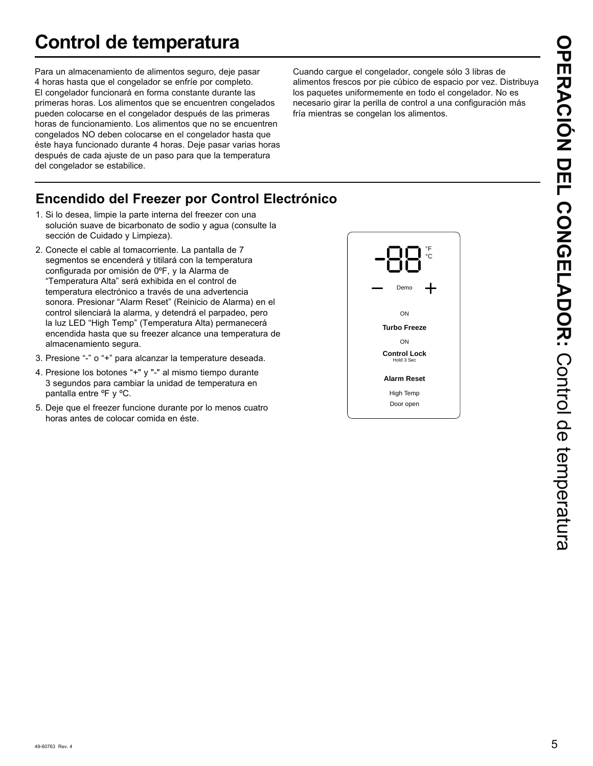# **Control de temperatura**

Para un almacenamiento de alimentos seguro, deje pasar 4 horas hasta que el congelador se enfríe por completo. El congelador funcionará en forma constante durante las primeras horas. Los alimentos que se encuentren congelados pueden colocarse en el congelador después de las primeras horas de funcionamiento. Los alimentos que no se encuentren congelados NO deben colocarse en el congelador hasta que éste haya funcionado durante 4 horas. Deje pasar varias horas después de cada ajuste de un paso para que la temperatura del congelador se estabilice.

Cuando cargue el congelador, congele sólo 3 libras de alimentos frescos por pie cúbico de espacio por vez. Distribuya los paquetes uniformemente en todo el congelador. No es necesario girar la perilla de control a una configuración más fría mientras se congelan los alimentos.

### **Encendido del Freezer por Control Electrónico**

- 1. Si lo desea, limpie la parte interna del freezer con una solución suave de bicarbonato de sodio y agua (consulte la sección de Cuidado y Limpieza).
- 2. Conecte el cable al tomacorriente. La pantalla de 7 segmentos se encenderá y titilará con la temperatura configurada por omisión de 0ºF, y la Alarma de "Temperatura Alta" será exhibida en el control de temperatura electrónico a través de una advertencia sonora. Presionar "Alarm Reset" (Reinicio de Alarma) en el control silenciará la alarma, y detendrá el parpadeo, pero la luz LED "High Temp" (Temperatura Alta) permanecerá encendida hasta que su freezer alcance una temperatura de almacenamiento segura.
- 3. Presione "-" o "+" para alcanzar la temperature deseada.
- 4. Presione los botones "+" y "-" al mismo tiempo durante 3 segundos para cambiar la unidad de temperatura en pantalla entre ºF y ºC.
- 5. Deje que el freezer funcione durante por lo menos cuatro horas antes de colocar comida en éste.

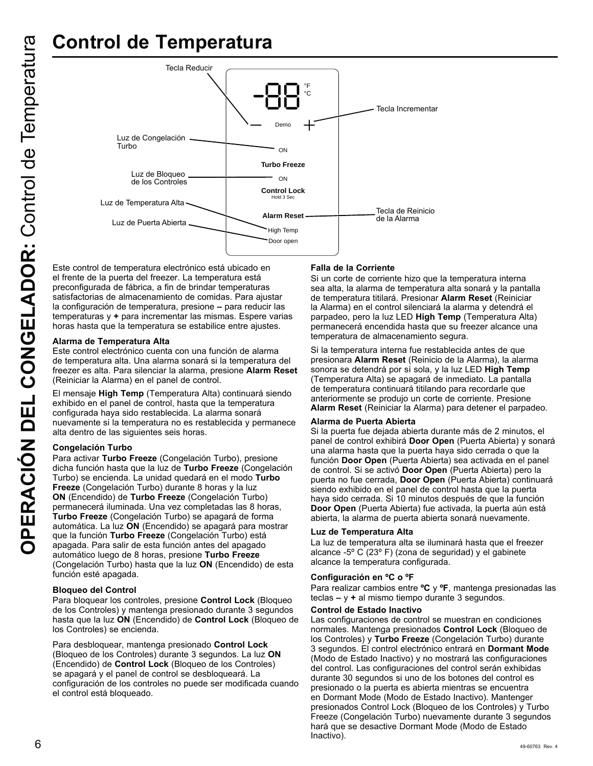

Este control de temperatura electrónico está ubicado en el frente de la puerta del freezer. La temperatura está preconfigurada de fábrica, a fin de brindar temperaturas satisfactorias de almacenamiento de comidas. Para ajustar la configuración de temperatura, presione **–** para reducir las temperaturas y **+** para incrementar las mismas. Espere varias horas hasta que la temperatura se estabilice entre ajustes.

### **Alarma de Temperatura Alta**

Este control electrónico cuenta con una función de alarma de temperatura alta. Una alarma sonará si la temperatura del freezer es alta. Para silenciar la alarma, presione **Alarm Reset** (Reiniciar la Alarma) en el panel de control.

El mensaje **High Temp** (Temperatura Alta) continuará siendo exhibido en el panel de control, hasta que la temperatura configurada haya sido restablecida. La alarma sonará nuevamente si la temperatura no es restablecida y permanece alta dentro de las siguientes seis horas.

### **Congelación Turbo**

Para activar **Turbo Freeze** (Congelación Turbo), presione dicha función hasta que la luz de **Turbo Freeze** (Congelación Turbo) se encienda. La unidad quedará en el modo **Turbo Freeze** (Congelación Turbo) durante 8 horas y la luz **ON** (Encendido) de **Turbo Freeze** (Congelación Turbo) permanecerá iluminada. Una vez completadas las 8 horas, **Turbo Freeze** (Congelación Turbo) se apagará de forma automática. La luz **ON** (Encendido) se apagará para mostrar que la función **Turbo Freeze** (Congelación Turbo) está apagada. Para salir de esta función antes del apagado automático luego de 8 horas, presione **Turbo Freeze** (Congelación Turbo) hasta que la luz **ON** (Encendido) de esta función esté apagada.

### **Bloqueo del Control**

Para bloquear los controles, presione **Control Lock** (Bloqueo de los Controles) y mantenga presionado durante 3 segundos hasta que la luz **ON** (Encendido) de **Control Lock** (Bloqueo de los Controles) se encienda.

Para desbloquear, mantenga presionado **Control Lock**  (Bloqueo de los Controles) durante 3 segundos. La luz **ON** (Encendido) de **Control Lock** (Bloqueo de los Controles) se apagará y el panel de control se desbloqueará. La configuración de los controles no puede ser modificada cuando el control está bloqueado.

### **Falla de la Corriente**

Si un corte de corriente hizo que la temperatura interna sea alta, la alarma de temperatura alta sonará y la pantalla de temperatura titilará. Presionar **Alarm Reset** (Reiniciar la Alarma) en el control silenciará la alarma y detendrá el parpadeo, pero la luz LED High Temp (Temperatura Alta) permanecerá encendida hasta que su freezer alcance una temperatura de almacenamiento segura.

Si la temperatura interna fue restablecida antes de que presionara **Alarm Reset** (Reinicio de la Alarma), la alarma sonora se detendrá por sí sola, y la luz LED **High Temp** (Temperatura Alta) se apagará de inmediato. La pantalla de temperatura continuará titilando para recordarle que anteriormente se produjo un corte de corriente. Presione **Alarm Reset** (Reiniciar la Alarma) para detener el parpadeo.

### **Alarma de Puerta Abierta**

Si la puerta fue dejada abierta durante más de 2 minutos, el panel de control exhibirá **Door Open** (Puerta Abierta) y sonará una alarma hasta que la puerta haya sido cerrada o que la función **Door Open** (Puerta Abierta) sea activada en el panel de control. Si se activó **Door Open** (Puerta Abierta) pero la puerta no fue cerrada, **Door Open** (Puerta Abierta) continuará siendo exhibido en el panel de control hasta que la puerta haya sido cerrada. Si 10 minutos después de que la función **Door Open** (Puerta Abierta) fue activada, la puerta aún está abierta, la alarma de puerta abierta sonará nuevamente.

### **Luz de Temperatura Alta**

La luz de temperatura alta se iluminará hasta que el freezer alcance -5 $\degree$  C (23 $\degree$  F) (zona de seguridad) y el gabinete alcance la temperatura configurada.

### **Configuración en ºC o ºF**

Para realizar cambios entre **ºC** y **ºF**, mantenga presionadas las teclas **–** y **+** al mismo tiempo durante 3 segundos.

### **Control de Estado Inactivo**

 $6$   $^{\circ}$ Las configuraciones de control se muestran en condiciones normales. Mantenga presionados **Control Lock** (Bloqueo de los Controles) y **Turbo Freeze** (Congelación Turbo) durante 3 segundos. El control electrónico entrará en **Dormant Mode**  (Modo de Estado Inactivo) y no mostrará las configuraciones del control. Las configuraciones del control serán exhibidas durante 30 segundos si uno de los botones del control es presionado o la puerta es abierta mientras se encuentra en Dormant Mode (Modo de Estado Inactivo). Mantenger presionados Control Lock (Bloqueo de los Controles) y Turbo Freeze (Congelación Turbo) nuevamente durante 3 segundos hará que se desactive Dormant Mode (Modo de Estado Inactivo).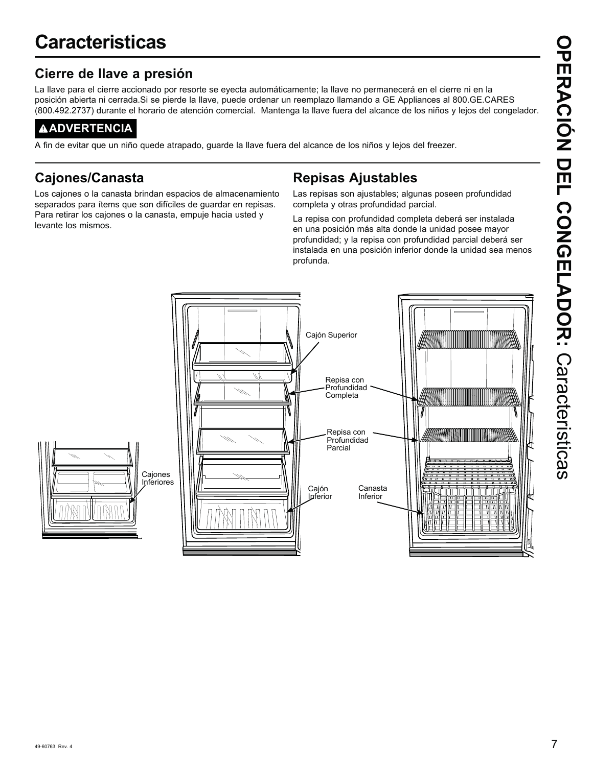### **Cierre de llave a presión**

La llave para el cierre accionado por resorte se eyecta automáticamente; la llave no permanecerá en el cierre ni en la posición abierta ni cerrada.Si se pierde la llave, puede ordenar un reemplazo llamando a GE Appliances al 800.GE.CARES (800.492.2737) durante el horario de atención comercial. Mantenga la llave fuera del alcance de los niños y lejos del congelador.

### **ADVERTENCIA**

A fin de evitar que un niño quede atrapado, guarde la llave fuera del alcance de los niños y lejos del freezer.

### **Cajones/Canasta**

Los cajones o la canasta brindan espacios de almacenamiento separados para ítems que son difíciles de guardar en repisas. Para retirar los cajones o la canasta, empuje hacia usted y levante los mismos.

### **Repisas Ajustables**

Las repisas son ajustables; algunas poseen profundidad completa y otras profundidad parcial.

La repisa con profundidad completa deberá ser instalada en una posición más alta donde la unidad posee mayor profundidad; y la repisa con profundidad parcial deberá ser instalada en una posición inferior donde la unidad sea menos profunda.

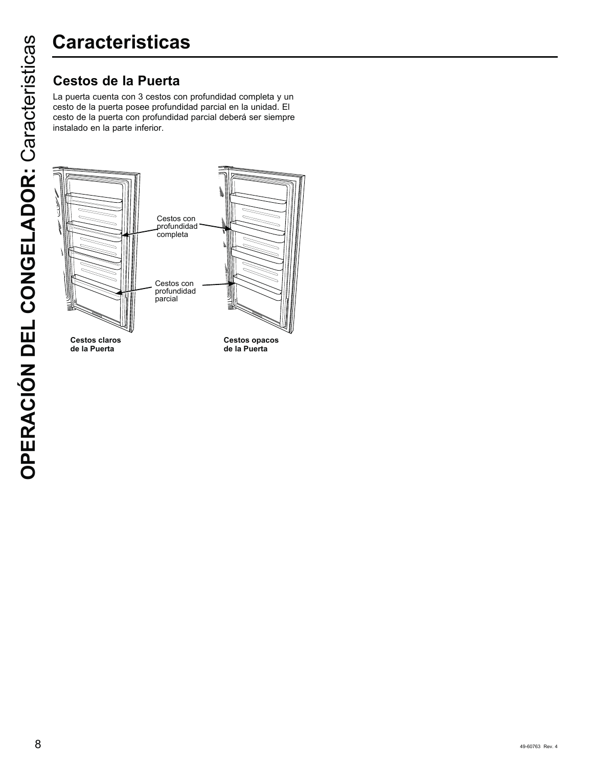La puerta cuenta con 3 cestos con profundidad completa y un cesto de la puerta posee profundidad parcial en la unidad. El cesto de la puerta con profundidad parcial deberá ser siempre instalado en la parte inferior.



**de la Puerta**

**Cestos opacos de la Puerta**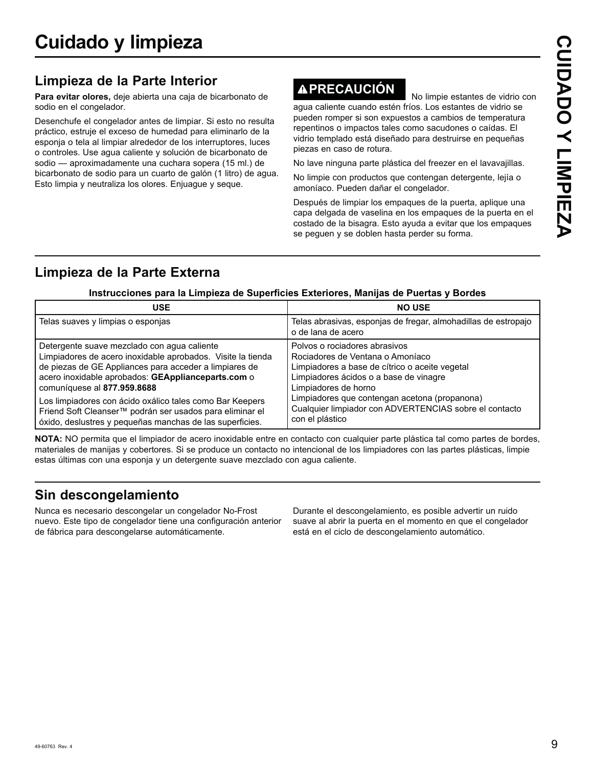### **Limpieza de la Parte Interior**

**Para evitar olores,** deje abierta una caja de bicarbonato de sodio en el congelador.

Desenchufe el congelador antes de limpiar. Si esto no resulta práctico, estruje el exceso de humedad para eliminarlo de la esponja o tela al limpiar alrededor de los interruptores, luces o controles. Use agua caliente y solución de bicarbonato de sodio — aproximadamente una cuchara sopera (15 ml.) de bicarbonato de sodio para un cuarto de galón (1 litro) de agua. Esto limpia y neutraliza los olores. Enjuague y seque.

# **APRECAUCIÓN** No limpie estantes de vidrio con

agua caliente cuando estén fríos. Los estantes de vidrio se pueden romper si son expuestos a cambios de temperatura repentinos o impactos tales como sacudones o caídas. El vidrio templado está diseñado para destruirse en pequeñas piezas en caso de rotura.

No lave ninguna parte plástica del freezer en el lavavajillas.

No limpie con productos que contengan detergente, lejía o amoníaco. Pueden dañar el congelador.

Después de limpiar los empaques de la puerta, aplique una capa delgada de vaselina en los empaques de la puerta en el costado de la bisagra. Esto ayuda a evitar que los empaques se peguen y se doblen hasta perder su forma.

### **Limpieza de la Parte Externa**

### Instrucciones para la Limpieza de Superficies Exteriores, Manijas de Puertas y Bordes

| <b>USE</b>                                                  | <b>NO USE</b>                                                                        |
|-------------------------------------------------------------|--------------------------------------------------------------------------------------|
| Telas suaves y limpias o esponjas                           | Telas abrasivas, esponjas de fregar, almohadillas de estropajo<br>o de lana de acero |
| Detergente suave mezclado con agua caliente                 | Polvos o rociadores abrasivos                                                        |
| Limpiadores de acero inoxidable aprobados. Visite la tienda | Rociadores de Ventana o Amoníaco                                                     |
| de piezas de GE Appliances para acceder a limpiares de      | Limpiadores a base de cítrico o aceite vegetal                                       |
| acero inoxidable aprobados: GEApplianceparts.com o          | Limpiadores ácidos o a base de vinagre                                               |
| comuníquese al 877.959.8688                                 | Limpiadores de horno                                                                 |
| Los limpiadores con ácido oxálico tales como Bar Keepers    | Limpiadores que contengan acetona (propanona)                                        |
| Friend Soft Cleanser™ podrán ser usados para eliminar el    | Cualquier limpiador con ADVERTENCIAS sobre el contacto                               |
| óxido, deslustres y pequeñas manchas de las superficies.    | con el plástico                                                                      |

**NOTA:** NO permita que el limpiador de acero inoxidable entre en contacto con cualquier parte plástica tal como partes de bordes, materiales de manijas y cobertores. Si se produce un contacto no intencional de los limpiadores con las partes plásticas, limpie estas últimas con una esponja y un detergente suave mezclado con agua caliente.

### **Sin descongelamiento**

Nunca es necesario descongelar un congelador No-Frost nuevo. Este tipo de congelador tiene una configuración anterior de fábrica para descongelarse automáticamente.

Durante el descongelamiento, es posible advertir un ruido suave al abrir la puerta en el momento en que el congelador está en el ciclo de descongelamiento automático.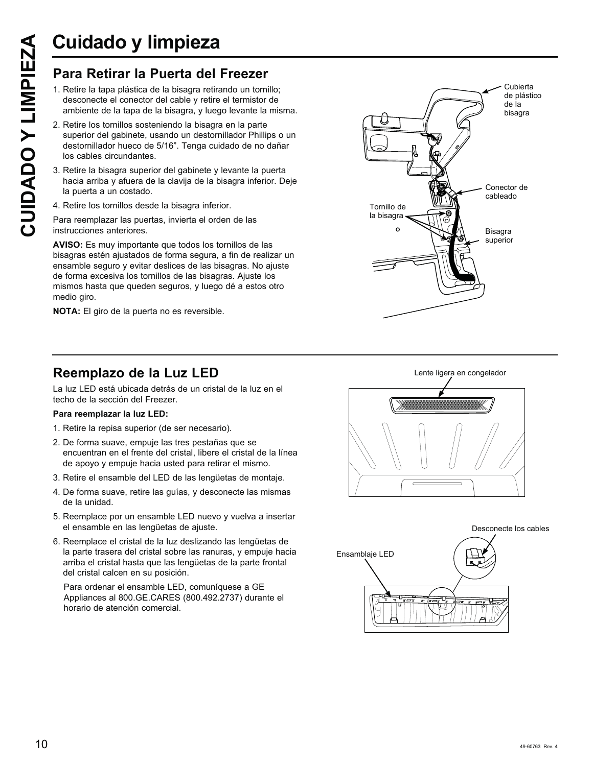# **Cuidado y limpieza**

- 1. Retire la tapa plástica de la bisagra retirando un tornillo; desconecte el conector del cable y retire el termistor de ambiente de la tapa de la bisagra, y luego levante la misma.
- **CUIDADO Y LIMPIEZA**<br> **Para Retirar la Puerta del Freezer**<br>
1. Retire la tapa plástica de la bisagra retirando un tornil desconecte el conector del cable y retire el termistor commbiente de la tapa de la bisagra, y luego l 2. Retire los tornillos sosteniendo la bisagra en la parte superior del gabinete, usando un destornillador Phillips o un destornillador hueco de 5/16". Tenga cuidado de no dañar los cables circundantes.
	- 3. Retire la bisagra superior del gabinete y levante la puerta hacia arriba y afuera de la clavija de la bisagra inferior. Deje la puerta a un costado.
	- 4. Retire los tornillos desde la bisagra inferior.
	- Para reemplazar las puertas, invierta el orden de las instrucciones anteriores.

**AVISO:** Es muy importante que todos los tornillos de las bisagras estén ajustados de forma segura, a fin de realizar un ensamble seguro y evitar deslices de las bisagras. No ajuste de forma excesiva los tornillos de las bisagras. Ajuste los mismos hasta que queden seguros, y luego dé a estos otro medio giro.

**NOTA:** El giro de la puerta no es reversible.



### **Reemplazo de la Luz LED**

La luz LED está ubicada detrás de un cristal de la luz en el techo de la sección del Freezer.

### **Para reemplazar la luz LED:**

- 1. Retire la repisa superior (de ser necesario).
- 2. De forma suave, empuje las tres pestañas que se encuentran en el frente del cristal, libere el cristal de la línea de apoyo y empuje hacia usted para retirar el mismo.
- 3. Retire el ensamble del LED de las lengüetas de montaje.
- 4. De forma suave, retire las quías, y desconecte las mismas de la unidad.
- 5. Reemplace por un ensamble LED nuevo y vuelva a insertar el ensamble en las lengüetas de ajuste.
- 6. Reemplace el cristal de la luz deslizando las lengüetas de la parte trasera del cristal sobre las ranuras, y empuje hacia arriba el cristal hasta que las lengüetas de la parte frontal del cristal calcen en su posición.

Para ordenar el ensamble LED, comuníquese a GE Appliances al 800.GE.CARES (800.492.2737) durante el horario de atención comercial.



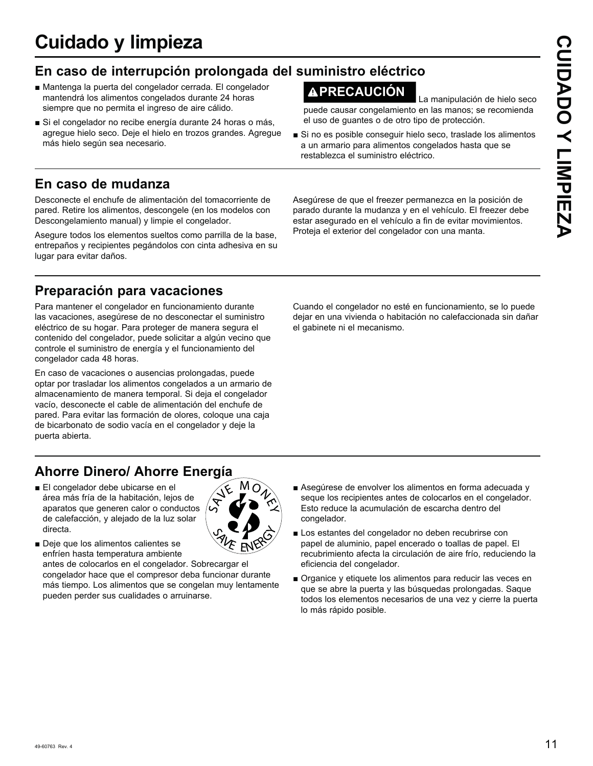# **Cuidado y limpieza**

### **En caso de interrupción prolongada del suministro eléctrico**

- Mantenga la puerta del congelador cerrada. El congelador mantendrá los alimentos congelados durante 24 horas siempre que no permita el ingreso de aire cálido.
- Si el congelador no recibe energía durante 24 horas o más, agregue hielo seco. Deje el hielo en trozos grandes. Agregue más hielo según sea necesario.

### **En caso de mudanza**

Desconecte el enchufe de alimentación del tomacorriente de pared. Retire los alimentos, descongele (en los modelos con Descongelamiento manual) y limpie el congelador.

Asegure todos los elementos sueltos como parrilla de la base, entrepaños y recipientes pegándolos con cinta adhesiva en su lugar para evitar daños.

### **Preparación para vacaciones**

Para mantener el congelador en funcionamiento durante las vacaciones, asegúrese de no desconectar el suministro eléctrico de su hogar. Para proteger de manera segura el contenido del congelador, puede solicitar a algún vecino que controle el suministro de energía y el funcionamiento del congelador cada 48 horas.

En caso de vacaciones o ausencias prolongadas, puede optar por trasladar los alimentos congelados a un armario de almacenamiento de manera temporal. Si deja el congelador vacío, desconecte el cable de alimentación del enchufe de pared. Para evitar las formación de olores, coloque una caja de bicarbonato de sodio vacía en el congelador y deje la puerta abierta.

### **Ahorre Dinero/ Ahorre Energía**

- El congelador debe ubicarse en el área más fría de la habitación, lejos de aparatos que generen calor o conductos de calefacción, y alejado de la luz solar directa.
- Deje que los alimentos calientes se enfríen hasta temperatura ambiente antes de colocarlos en el congelador. Sobrecargar el

congelador hace que el compresor deba funcionar durante más tiempo. Los alimentos que se congelan muy lentamente pueden perder sus cualidades o arruinarse.

- Asegúrese de envolver los alimentos en forma adecuada y seque los recipientes antes de colocarlos en el congelador. Esto reduce la acumulación de escarcha dentro del congelador.
- Los estantes del congelador no deben recubrirse con papel de aluminio, papel encerado o toallas de papel. El recubrimiento afecta la circulación de aire frío, reduciendo la eficiencia del congelador.
- Organice y etiquete los alimentos para reducir las veces en que se abre la puerta y las búsquedas prolongadas. Saque todos los elementos necesarios de una vez y cierre la puerta lo más rápido posible.

Cuando el congelador no esté en funcionamiento, se lo puede dejar en una vivienda o habitación no calefaccionada sin dañar el gabinete ni el mecanismo.

**PRECAUCIÓN** La manipulación de hielo seco

puede causar congelamiento en las manos; se recomienda el uso de guantes o de otro tipo de protección.

Si no es posible conseguir hielo seco, traslade los alimentos a un armario para alimentos congelados hasta que se restablezca el suministro eléctrico.

Asegúrese de que el freezer permanezca en la posición de parado durante la mudanza y en el vehículo. El freezer debe estar asegurado en el vehículo a fin de evitar movimientos.

Proteja el exterior del congelador con una manta.

49-60763 Rev. 4 11



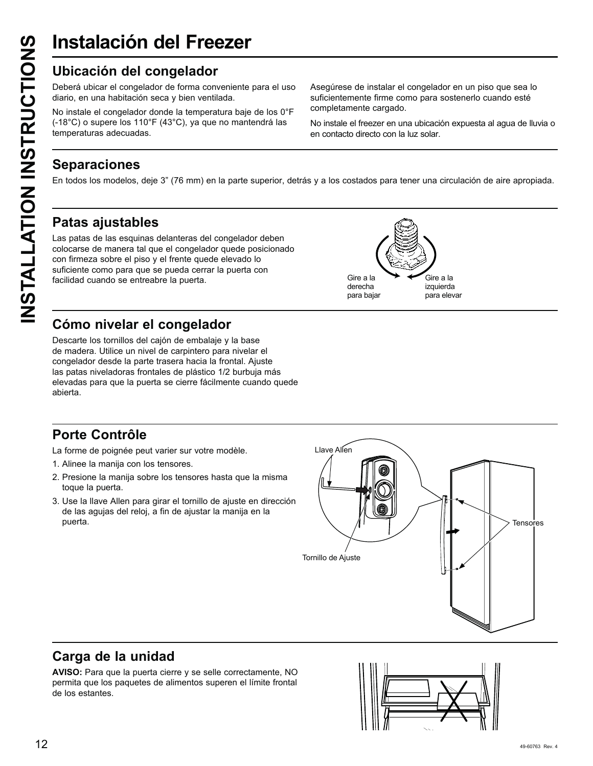# **Instalación del Freezer**

Deberá ubicar el congelador de forma conveniente para el uso diario, en una habitación seca y bien ventilada.

No instale el congelador donde la temperatura baje de los 0°F (-18°C) o supere los 110°F (43°C), ya que no mantendrá las temperaturas adecuadas.

Asegúrese de instalar el congelador en un piso que sea lo suficientemente firme como para sostenerlo cuando esté completamente cargado.

No instale el freezer en una ubicación expuesta al agua de lluvia o en contacto directo con la luz solar.

### **Separaciones**

En todos los modelos, deje 3" (76 mm) en la parte superior, detrás y a los costados para tener una circulación de aire apropiada.

### **Patas ajustables**

**INSTALLATION DEL Free**<br>
Ubicación del congelador de forma con<br>
diario, en una habitación seca y bien ventil<br>
No instale el congelador donde la tempera<br>
(-18°C) o supere los 110°F (43°C), ya que<br>
temperaturas adecuadas.<br>
S Las patas de las esquinas delanteras del congelador deben colocarse de manera tal que el congelador quede posicionado con firmeza sobre el piso y el frente quede elevado lo suficiente como para que se pueda cerrar la puerta con facilidad cuando se entreabre la puerta.



### **Cómo nivelar el congelador**

Descarte los tornillos del cajón de embalaje y la base de madera. Utilice un nivel de carpintero para nivelar el congelador desde la parte trasera hacia la frontal. Ajuste las patas niveladoras frontales de plástico 1/2 burbuja más elevadas para que la puerta se cierre fácilmente cuando quede abierta.

### **Porte Contrôle**

La forme de poignée peut varier sur votre modèle.

- 1. Alinee la manija con los tensores.
- 2. Presione la manija sobre los tensores hasta que la misma toque la puerta.
- 3. Use la llave Allen para girar el tornillo de ajuste en dirección de las agujas del reloj, a fin de ajustar la manija en la



### **Carga de la unidad**

**AVISO:** Para que la puerta cierre y se selle correctamente, NO permita que los paquetes de alimentos superen el límite frontal de los estantes.

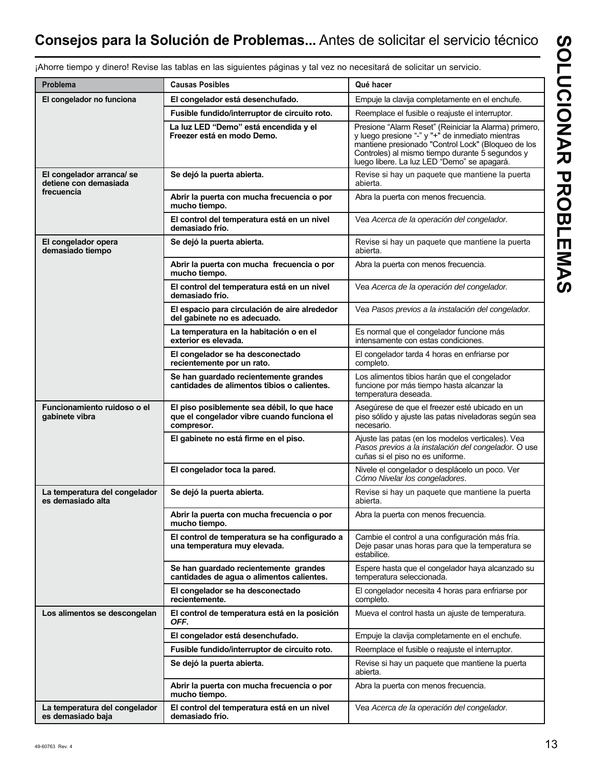### **Consejos para la Solución de Problemas...** Antes de solicitar el servicio técnico

| <b>Problema</b>                                                 | <b>Causas Posibles</b>                                                                                  | Qué hacer                                                                                                                                                                                                                                                         |
|-----------------------------------------------------------------|---------------------------------------------------------------------------------------------------------|-------------------------------------------------------------------------------------------------------------------------------------------------------------------------------------------------------------------------------------------------------------------|
| El congelador no funciona                                       | El congelador está desenchufado.                                                                        | Empuje la clavija completamente en el enchufe.                                                                                                                                                                                                                    |
|                                                                 | Fusible fundido/interruptor de circuito roto.                                                           | Reemplace el fusible o reajuste el interruptor.                                                                                                                                                                                                                   |
|                                                                 | La luz LED "Demo" está encendida y el<br>Freezer está en modo Demo.                                     | Presione "Alarm Reset" (Reiniciar la Alarma) primero,<br>y luego presione "-" y "+" de inmediato mientras<br>mantiene presionado "Control Lock" (Bloqueo de los<br>Controles) al mismo tiempo durante 5 segundos y<br>luego libere. La luz LED "Demo" se apagará. |
| El congelador arranca/se<br>detiene con demasiada<br>frecuencia | Se dejó la puerta abierta.                                                                              | Revise si hay un paquete que mantiene la puerta<br>abierta.                                                                                                                                                                                                       |
|                                                                 | Abrir la puerta con mucha frecuencia o por<br>mucho tiempo.                                             | Abra la puerta con menos frecuencia.                                                                                                                                                                                                                              |
|                                                                 | El control del temperatura está en un nivel<br>demasiado frío.                                          | Vea Acerca de la operación del congelador.                                                                                                                                                                                                                        |
| El congelador opera<br>demasiado tiempo                         | Se dejó la puerta abierta.                                                                              | Revise si hay un paquete que mantiene la puerta<br>abierta.                                                                                                                                                                                                       |
|                                                                 | Abrir la puerta con mucha frecuencia o por<br>mucho tiempo.                                             | Abra la puerta con menos frecuencia.                                                                                                                                                                                                                              |
|                                                                 | El control del temperatura está en un nivel<br>demasiado frío.                                          | Vea Acerca de la operación del congelador.                                                                                                                                                                                                                        |
|                                                                 | El espacio para circulación de aire alrededor<br>del gabinete no es adecuado.                           | Vea Pasos previos a la instalación del congelador.                                                                                                                                                                                                                |
|                                                                 | La temperatura en la habitación o en el<br>exterior es elevada.                                         | Es normal que el congelador funcione más<br>intensamente con estas condiciones.                                                                                                                                                                                   |
|                                                                 | El congelador se ha desconectado<br>recientemente por un rato.                                          | El congelador tarda 4 horas en enfriarse por<br>completo.                                                                                                                                                                                                         |
|                                                                 | Se han guardado recientemente grandes<br>cantidades de alimentos tibios o calientes.                    | Los alimentos tibios harán que el congelador<br>funcione por más tiempo hasta alcanzar la<br>temperatura deseada.                                                                                                                                                 |
| Funcionamiento ruidoso o el<br>gabinete vibra                   | El piso posiblemente sea débil, lo que hace<br>que el congelador vibre cuando funciona el<br>compresor. | Asegúrese de que el freezer esté ubicado en un<br>piso sólido y ajuste las patas niveladoras según sea<br>necesario.                                                                                                                                              |
|                                                                 | El gabinete no está firme en el piso.                                                                   | Ajuste las patas (en los modelos verticales). Vea<br>Pasos previos a la instalación del congelador. O use<br>cuñas si el piso no es uniforme.                                                                                                                     |
|                                                                 | El congelador toca la pared.                                                                            | Nivele el congelador o desplácelo un poco. Ver<br>Cómo Nivelar los congeladores.                                                                                                                                                                                  |
| La temperatura del congelador<br>es demasiado alta              | Se dejó la puerta abierta.                                                                              | Revise si hay un paquete que mantiene la puerta<br>abierta.                                                                                                                                                                                                       |
|                                                                 | Abrir la puerta con mucha frecuencia o por<br>mucho tiempo.                                             | Abra la puerta con menos frecuencia.                                                                                                                                                                                                                              |
|                                                                 | El control de temperatura se ha configurado a<br>una temperatura muy elevada.                           | Cambie el control a una configuración más fría.<br>Deje pasar unas horas para que la temperatura se<br>estabilice.                                                                                                                                                |
|                                                                 | Se han guardado recientemente grandes<br>cantidades de agua o alimentos calientes.                      | Espere hasta que el congelador haya alcanzado su<br>temperatura seleccionada.                                                                                                                                                                                     |
|                                                                 | El congelador se ha desconectado<br>recientemente.                                                      | El congelador necesita 4 horas para enfriarse por<br>completo.                                                                                                                                                                                                    |
| Los alimentos se descongelan                                    | El control de temperatura está en la posición<br>OFF.                                                   | Mueva el control hasta un ajuste de temperatura.                                                                                                                                                                                                                  |
|                                                                 | El congelador está desenchufado.                                                                        | Empuje la clavija completamente en el enchufe.                                                                                                                                                                                                                    |
|                                                                 | Fusible fundido/interruptor de circuito roto.                                                           | Reemplace el fusible o reajuste el interruptor.                                                                                                                                                                                                                   |
|                                                                 | Se dejó la puerta abierta.                                                                              | Revise si hay un paquete que mantiene la puerta<br>abierta.                                                                                                                                                                                                       |
|                                                                 | Abrir la puerta con mucha frecuencia o por<br>mucho tiempo.                                             | Abra la puerta con menos frecuencia.                                                                                                                                                                                                                              |
| La temperatura del congelador<br>es demasiado baja              | El control del temperatura está en un nivel<br>demasiado frío.                                          | Vea Acerca de la operación del congelador.                                                                                                                                                                                                                        |

¡Ahorre tiempo y dinero! Revise las tablas en las siguientes páginas y tal vez no necesitará de solicitar un servicio.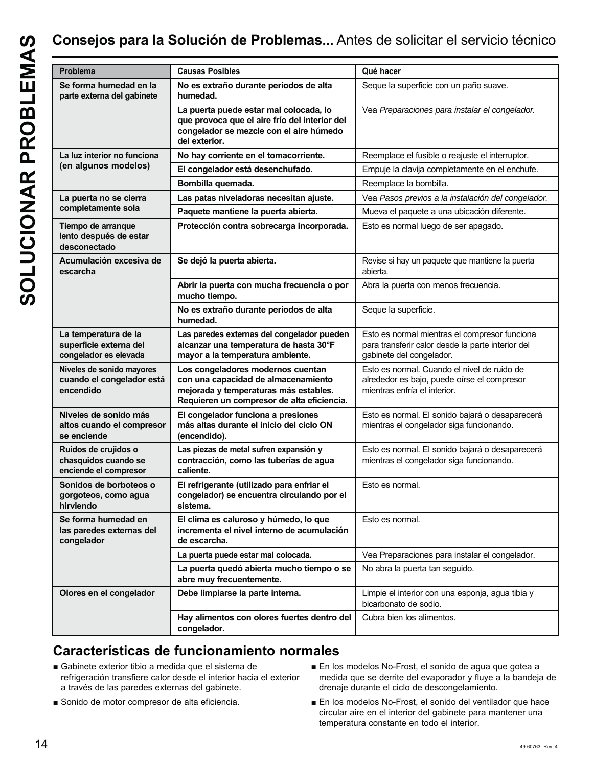| ı |
|---|

| Se forma humedad en la<br>No es extraño durante períodos de alta<br>Seque la superficie con un paño suave.<br>parte externa del gabinete<br>humedad.<br>La puerta puede estar mal colocada, lo<br>que provoca que el aire frío del interior del<br>congelador se mezcle con el aire húmedo<br>del exterior.<br>La luz interior no funciona<br>No hay corriente en el tomacorriente.<br>(en algunos modelos)<br>El congelador está desenchufado.<br>Bombilla quemada.<br>Reemplace la bombilla.<br>La puerta no se cierra<br>Las patas niveladoras necesitan ajuste.<br>completamente sola<br>Paquete mantiene la puerta abierta.<br>Tiempo de arranque<br>Protección contra sobrecarga incorporada.<br>Esto es normal luego de ser apagado.<br>lento después de estar<br>desconectado<br>Acumulación excesiva de<br>Se dejó la puerta abierta.<br>escarcha<br>abierta.<br>Abrir la puerta con mucha frecuencia o por<br>Abra la puerta con menos frecuencia.<br>mucho tiempo.<br>No es extraño durante períodos de alta<br>Seque la superficie.<br>humedad.<br>La temperatura de la<br>Las paredes externas del congelador pueden<br>superficie externa del<br>alcanzar una temperatura de hasta 30°F<br>congelador es elevada<br>gabinete del congelador.<br>mayor a la temperatura ambiente.<br>Niveles de sonido mayores<br>Los congeladores modernos cuentan<br>cuando el congelador está<br>con una capacidad de almacenamiento<br>encendido<br>mejorada y temperaturas más estables.<br>mientras enfría el interior.<br>Requieren un compresor de alta eficiencia.<br>Niveles de sonido más<br>El congelador funciona a presiones<br>altos cuando el compresor<br>más altas durante el inicio del ciclo ON<br>mientras el congelador siga funcionando.<br>(encendido).<br>se enciende<br>Ruidos de crujidos o<br>Las piezas de metal sufren expansión y<br>contracción, como las tuberías de agua<br>chasquidos cuando se<br>mientras el congelador siga funcionando.<br>enciende el compresor<br>caliente.<br>Sonidos de borboteos o<br>El refrigerante (utilizado para enfriar el<br>Esto es normal.<br>congelador) se encuentra circulando por el<br>gorgoteos, como agua<br>hirviendo<br>sistema.<br>Se forma humedad en<br>El clima es caluroso y húmedo, lo que<br>Esto es normal.<br>incrementa el nivel interno de acumulación<br>las paredes externas del<br>congelador<br>de escarcha.<br>La puerta puede estar mal colocada.<br>La puerta quedó abierta mucho tiempo o se<br>No abra la puerta tan seguido.<br>abre muy frecuentemente.<br>Olores en el congelador<br>Debe limpiarse la parte interna.<br>bicarbonato de sodio.<br>Cubra bien los alimentos.<br>Hay alimentos con olores fuertes dentro del<br>congelador. | Problema | <b>Causas Posibles</b> | Qué hacer                                                                                          |
|---------------------------------------------------------------------------------------------------------------------------------------------------------------------------------------------------------------------------------------------------------------------------------------------------------------------------------------------------------------------------------------------------------------------------------------------------------------------------------------------------------------------------------------------------------------------------------------------------------------------------------------------------------------------------------------------------------------------------------------------------------------------------------------------------------------------------------------------------------------------------------------------------------------------------------------------------------------------------------------------------------------------------------------------------------------------------------------------------------------------------------------------------------------------------------------------------------------------------------------------------------------------------------------------------------------------------------------------------------------------------------------------------------------------------------------------------------------------------------------------------------------------------------------------------------------------------------------------------------------------------------------------------------------------------------------------------------------------------------------------------------------------------------------------------------------------------------------------------------------------------------------------------------------------------------------------------------------------------------------------------------------------------------------------------------------------------------------------------------------------------------------------------------------------------------------------------------------------------------------------------------------------------------------------------------------------------------------------------------------------------------------------------------------------------------------------------------------------------------------------------------------------------------------------------------------------------------------------------------------------------------------------------------------------------------------------------------------------------------------------|----------|------------------------|----------------------------------------------------------------------------------------------------|
|                                                                                                                                                                                                                                                                                                                                                                                                                                                                                                                                                                                                                                                                                                                                                                                                                                                                                                                                                                                                                                                                                                                                                                                                                                                                                                                                                                                                                                                                                                                                                                                                                                                                                                                                                                                                                                                                                                                                                                                                                                                                                                                                                                                                                                                                                                                                                                                                                                                                                                                                                                                                                                                                                                                                             |          |                        |                                                                                                    |
|                                                                                                                                                                                                                                                                                                                                                                                                                                                                                                                                                                                                                                                                                                                                                                                                                                                                                                                                                                                                                                                                                                                                                                                                                                                                                                                                                                                                                                                                                                                                                                                                                                                                                                                                                                                                                                                                                                                                                                                                                                                                                                                                                                                                                                                                                                                                                                                                                                                                                                                                                                                                                                                                                                                                             |          |                        | Vea Preparaciones para instalar el congelador.                                                     |
|                                                                                                                                                                                                                                                                                                                                                                                                                                                                                                                                                                                                                                                                                                                                                                                                                                                                                                                                                                                                                                                                                                                                                                                                                                                                                                                                                                                                                                                                                                                                                                                                                                                                                                                                                                                                                                                                                                                                                                                                                                                                                                                                                                                                                                                                                                                                                                                                                                                                                                                                                                                                                                                                                                                                             |          |                        | Reemplace el fusible o reajuste el interruptor.                                                    |
|                                                                                                                                                                                                                                                                                                                                                                                                                                                                                                                                                                                                                                                                                                                                                                                                                                                                                                                                                                                                                                                                                                                                                                                                                                                                                                                                                                                                                                                                                                                                                                                                                                                                                                                                                                                                                                                                                                                                                                                                                                                                                                                                                                                                                                                                                                                                                                                                                                                                                                                                                                                                                                                                                                                                             |          |                        | Empuje la clavija completamente en el enchufe.                                                     |
|                                                                                                                                                                                                                                                                                                                                                                                                                                                                                                                                                                                                                                                                                                                                                                                                                                                                                                                                                                                                                                                                                                                                                                                                                                                                                                                                                                                                                                                                                                                                                                                                                                                                                                                                                                                                                                                                                                                                                                                                                                                                                                                                                                                                                                                                                                                                                                                                                                                                                                                                                                                                                                                                                                                                             |          |                        |                                                                                                    |
|                                                                                                                                                                                                                                                                                                                                                                                                                                                                                                                                                                                                                                                                                                                                                                                                                                                                                                                                                                                                                                                                                                                                                                                                                                                                                                                                                                                                                                                                                                                                                                                                                                                                                                                                                                                                                                                                                                                                                                                                                                                                                                                                                                                                                                                                                                                                                                                                                                                                                                                                                                                                                                                                                                                                             |          |                        | Vea Pasos previos a la instalación del congelador.                                                 |
|                                                                                                                                                                                                                                                                                                                                                                                                                                                                                                                                                                                                                                                                                                                                                                                                                                                                                                                                                                                                                                                                                                                                                                                                                                                                                                                                                                                                                                                                                                                                                                                                                                                                                                                                                                                                                                                                                                                                                                                                                                                                                                                                                                                                                                                                                                                                                                                                                                                                                                                                                                                                                                                                                                                                             |          |                        | Mueva el paquete a una ubicación diferente.                                                        |
|                                                                                                                                                                                                                                                                                                                                                                                                                                                                                                                                                                                                                                                                                                                                                                                                                                                                                                                                                                                                                                                                                                                                                                                                                                                                                                                                                                                                                                                                                                                                                                                                                                                                                                                                                                                                                                                                                                                                                                                                                                                                                                                                                                                                                                                                                                                                                                                                                                                                                                                                                                                                                                                                                                                                             |          |                        |                                                                                                    |
|                                                                                                                                                                                                                                                                                                                                                                                                                                                                                                                                                                                                                                                                                                                                                                                                                                                                                                                                                                                                                                                                                                                                                                                                                                                                                                                                                                                                                                                                                                                                                                                                                                                                                                                                                                                                                                                                                                                                                                                                                                                                                                                                                                                                                                                                                                                                                                                                                                                                                                                                                                                                                                                                                                                                             |          |                        | Revise si hay un paquete que mantiene la puerta                                                    |
|                                                                                                                                                                                                                                                                                                                                                                                                                                                                                                                                                                                                                                                                                                                                                                                                                                                                                                                                                                                                                                                                                                                                                                                                                                                                                                                                                                                                                                                                                                                                                                                                                                                                                                                                                                                                                                                                                                                                                                                                                                                                                                                                                                                                                                                                                                                                                                                                                                                                                                                                                                                                                                                                                                                                             |          |                        |                                                                                                    |
|                                                                                                                                                                                                                                                                                                                                                                                                                                                                                                                                                                                                                                                                                                                                                                                                                                                                                                                                                                                                                                                                                                                                                                                                                                                                                                                                                                                                                                                                                                                                                                                                                                                                                                                                                                                                                                                                                                                                                                                                                                                                                                                                                                                                                                                                                                                                                                                                                                                                                                                                                                                                                                                                                                                                             |          |                        |                                                                                                    |
|                                                                                                                                                                                                                                                                                                                                                                                                                                                                                                                                                                                                                                                                                                                                                                                                                                                                                                                                                                                                                                                                                                                                                                                                                                                                                                                                                                                                                                                                                                                                                                                                                                                                                                                                                                                                                                                                                                                                                                                                                                                                                                                                                                                                                                                                                                                                                                                                                                                                                                                                                                                                                                                                                                                                             |          |                        | Esto es normal mientras el compresor funciona<br>para transferir calor desde la parte interior del |
|                                                                                                                                                                                                                                                                                                                                                                                                                                                                                                                                                                                                                                                                                                                                                                                                                                                                                                                                                                                                                                                                                                                                                                                                                                                                                                                                                                                                                                                                                                                                                                                                                                                                                                                                                                                                                                                                                                                                                                                                                                                                                                                                                                                                                                                                                                                                                                                                                                                                                                                                                                                                                                                                                                                                             |          |                        | Esto es normal. Cuando el nivel de ruido de<br>alrededor es bajo, puede oírse el compresor         |
|                                                                                                                                                                                                                                                                                                                                                                                                                                                                                                                                                                                                                                                                                                                                                                                                                                                                                                                                                                                                                                                                                                                                                                                                                                                                                                                                                                                                                                                                                                                                                                                                                                                                                                                                                                                                                                                                                                                                                                                                                                                                                                                                                                                                                                                                                                                                                                                                                                                                                                                                                                                                                                                                                                                                             |          |                        | Esto es normal. El sonido bajará o desaparecerá                                                    |
|                                                                                                                                                                                                                                                                                                                                                                                                                                                                                                                                                                                                                                                                                                                                                                                                                                                                                                                                                                                                                                                                                                                                                                                                                                                                                                                                                                                                                                                                                                                                                                                                                                                                                                                                                                                                                                                                                                                                                                                                                                                                                                                                                                                                                                                                                                                                                                                                                                                                                                                                                                                                                                                                                                                                             |          |                        | Esto es normal. El sonido bajará o desaparecerá                                                    |
|                                                                                                                                                                                                                                                                                                                                                                                                                                                                                                                                                                                                                                                                                                                                                                                                                                                                                                                                                                                                                                                                                                                                                                                                                                                                                                                                                                                                                                                                                                                                                                                                                                                                                                                                                                                                                                                                                                                                                                                                                                                                                                                                                                                                                                                                                                                                                                                                                                                                                                                                                                                                                                                                                                                                             |          |                        |                                                                                                    |
|                                                                                                                                                                                                                                                                                                                                                                                                                                                                                                                                                                                                                                                                                                                                                                                                                                                                                                                                                                                                                                                                                                                                                                                                                                                                                                                                                                                                                                                                                                                                                                                                                                                                                                                                                                                                                                                                                                                                                                                                                                                                                                                                                                                                                                                                                                                                                                                                                                                                                                                                                                                                                                                                                                                                             |          |                        |                                                                                                    |
|                                                                                                                                                                                                                                                                                                                                                                                                                                                                                                                                                                                                                                                                                                                                                                                                                                                                                                                                                                                                                                                                                                                                                                                                                                                                                                                                                                                                                                                                                                                                                                                                                                                                                                                                                                                                                                                                                                                                                                                                                                                                                                                                                                                                                                                                                                                                                                                                                                                                                                                                                                                                                                                                                                                                             |          |                        | Vea Preparaciones para instalar el congelador.                                                     |
|                                                                                                                                                                                                                                                                                                                                                                                                                                                                                                                                                                                                                                                                                                                                                                                                                                                                                                                                                                                                                                                                                                                                                                                                                                                                                                                                                                                                                                                                                                                                                                                                                                                                                                                                                                                                                                                                                                                                                                                                                                                                                                                                                                                                                                                                                                                                                                                                                                                                                                                                                                                                                                                                                                                                             |          |                        |                                                                                                    |
|                                                                                                                                                                                                                                                                                                                                                                                                                                                                                                                                                                                                                                                                                                                                                                                                                                                                                                                                                                                                                                                                                                                                                                                                                                                                                                                                                                                                                                                                                                                                                                                                                                                                                                                                                                                                                                                                                                                                                                                                                                                                                                                                                                                                                                                                                                                                                                                                                                                                                                                                                                                                                                                                                                                                             |          |                        | Limpie el interior con una esponja, agua tibia y                                                   |
|                                                                                                                                                                                                                                                                                                                                                                                                                                                                                                                                                                                                                                                                                                                                                                                                                                                                                                                                                                                                                                                                                                                                                                                                                                                                                                                                                                                                                                                                                                                                                                                                                                                                                                                                                                                                                                                                                                                                                                                                                                                                                                                                                                                                                                                                                                                                                                                                                                                                                                                                                                                                                                                                                                                                             |          |                        |                                                                                                    |

### **Características de funcionamiento normales**

- Gabinete exterior tibio a medida que el sistema de refrigeración transfiere calor desde el interior hacia el exterior a través de las paredes externas del gabinete.
- Sonido de motor compresor de alta eficiencia.
- En los modelos No-Frost, el sonido de aqua que gotea a medida que se derrite del evaporador y fluye a la bandeja de drenaje durante el ciclo de descongelamiento.
- En los modelos No-Frost, el sonido del ventilador que hace circular aire en el interior del gabinete para mantener una temperatura constante en todo el interior.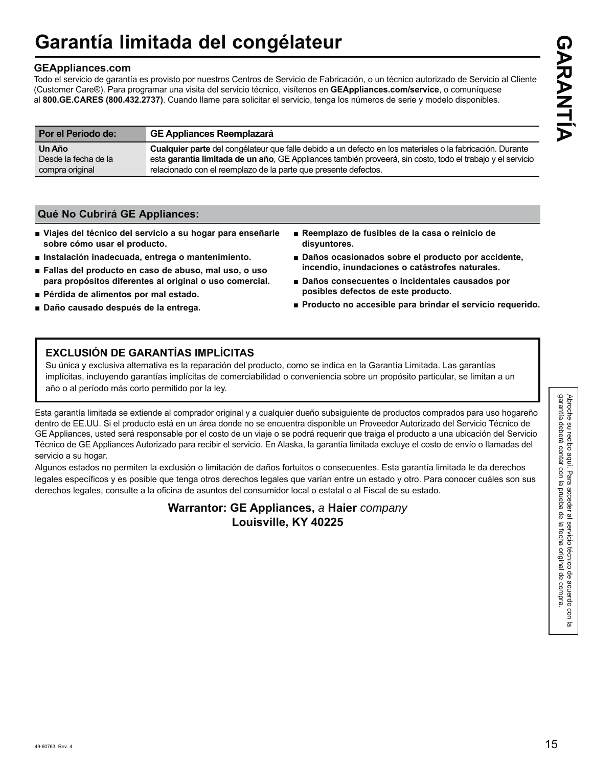# **Garantía limitada del congélateur**

### **GEAppliances.com**

Todo el servicio de garantía es provisto por nuestros Centros de Servicio de Fabricación, o un técnico autorizado de Servicio al Cliente (Customer Care®). Para programar una visita del servicio técnico, visítenos en **GEAppliances.com/service**, o comuníquese al **800.GE.CARES (800.432.2737)**. Cuando llame para solicitar el servicio, tenga los números de serie y modelo disponibles.

| Por el Período de:   | <b>GE Appliances Reemplazará</b>                                                                           |
|----------------------|------------------------------------------------------------------------------------------------------------|
| Un Año               | Cualquier parte del congélateur que falle debido a un defecto en los materiales o la fabricación. Durante  |
| Desde la fecha de la | esta garantía limitada de un año, GE Appliances también proveerá, sin costo, todo el trabajo y el servicio |
| compra original      | relacionado con el reemplazo de la parte que presente defectos.                                            |

### **Qué No Cubrirá GE Appliances:**

- **Ŷ Viajes del técnico del servicio a su hogar para enseñarle sobre cómo usar el producto.**
- Instalación inadecuada, entrega o mantenimiento.
- Fallas del producto en caso de abuso, mal uso, o uso **para propósitos diferentes al original o uso comercial.**
- Pérdida de alimentos por mal estado.
- **Ŷ Daño causado después de la entrega.**
- **Ŷ Reemplazo de fusibles de la casa o reinicio de disyuntores.**
- **Ŷ Daños ocasionados sobre el producto por accidente, incendio, inundaciones o catástrofes naturales.**
- Daños consecuentes o incidentales causados por **posibles defectos de este producto.**
- Producto no accesible para brindar el servicio requerido.

### **EXCLUSIÓN DE GARANTÍAS IMPLÍCITAS**

Su única y exclusiva alternativa es la reparación del producto, como se indica en la Garantía Limitada. Las garantías implícitas, incluyendo garantías implícitas de comerciabilidad o conveniencia sobre un propósito particular, se limitan a un año o al período más corto permitido por la ley.

Esta garantía limitada se extiende al comprador original y a cualquier dueño subsiguiente de productos comprados para uso hogareño dentro de EE.UU. Si el producto está en un área donde no se encuentra disponible un Proveedor Autorizado del Servicio Técnico de GE Appliances, usted será responsable por el costo de un viaje o se podrá requerir que traiga el producto a una ubicación del Servicio Técnico de GE Appliances Autorizado para recibir el servicio. En Alaska, la garantía limitada excluye el costo de envío o llamadas del servicio a su hogar.

Algunos estados no permiten la exclusión o limitación de daños fortuitos o consecuentes. Esta garantía limitada le da derechos legales específicos y es posible que tenga otros derechos legales que varían entre un estado y otro. Para conocer cuáles son sus derechos legales, consulte a la oficina de asuntos del consumidor local o estatal o al Fiscal de su estado.

> **Warrantor: GE Appliances,** *a* **Haier** *company*  **Louisville, KY 40225**